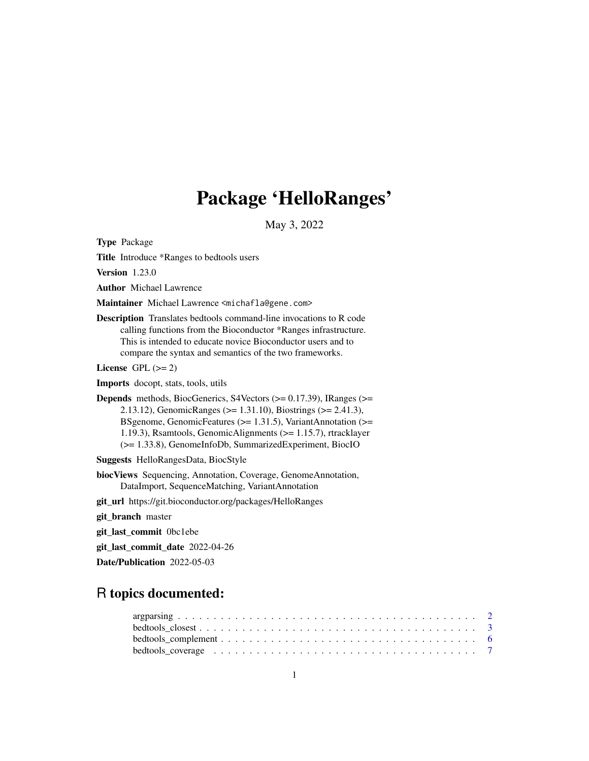## Package 'HelloRanges'

May 3, 2022

<span id="page-0-0"></span>Type Package

Title Introduce \*Ranges to bedtools users

Version 1.23.0

Author Michael Lawrence

Maintainer Michael Lawrence <michafla@gene.com>

Description Translates bedtools command-line invocations to R code calling functions from the Bioconductor \*Ranges infrastructure. This is intended to educate novice Bioconductor users and to compare the syntax and semantics of the two frameworks.

License GPL  $(>= 2)$ 

Imports docopt, stats, tools, utils

**Depends** methods, BiocGenerics, S4Vectors  $(>= 0.17.39)$ , IRanges  $(>= 0.17.39)$ 2.13.12), GenomicRanges (>= 1.31.10), Biostrings (>= 2.41.3), BSgenome, GenomicFeatures (>= 1.31.5), VariantAnnotation (>= 1.19.3), Rsamtools, GenomicAlignments (>= 1.15.7), rtracklayer (>= 1.33.8), GenomeInfoDb, SummarizedExperiment, BiocIO

Suggests HelloRangesData, BiocStyle

biocViews Sequencing, Annotation, Coverage, GenomeAnnotation, DataImport, SequenceMatching, VariantAnnotation

git\_url https://git.bioconductor.org/packages/HelloRanges

git\_branch master

git\_last\_commit 0bc1ebe

git\_last\_commit\_date 2022-04-26

Date/Publication 2022-05-03

## R topics documented:

| bedtools_coverage $\ldots \ldots \ldots \ldots \ldots \ldots \ldots \ldots \ldots \ldots \ldots \ldots$ |  |
|---------------------------------------------------------------------------------------------------------|--|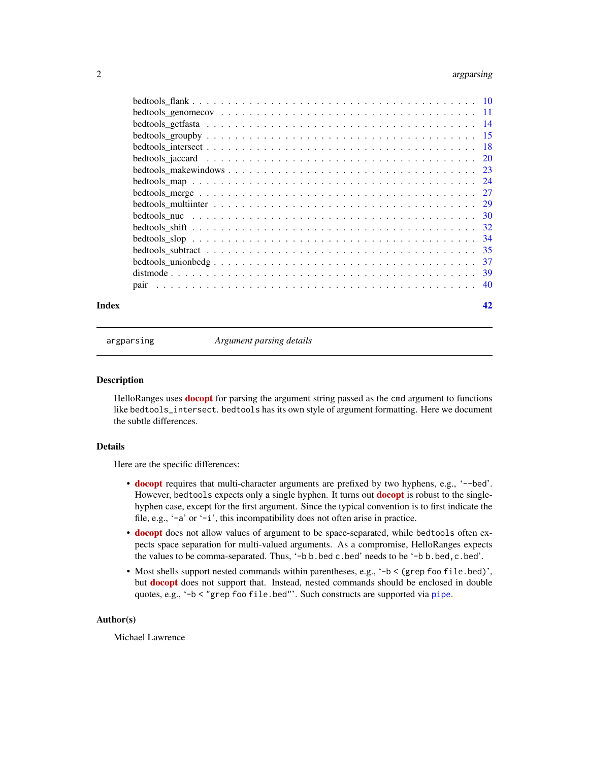### <span id="page-1-0"></span>2 argparsing and  $\alpha$  argparsing and  $\alpha$  argparsing and  $\alpha$  argparsing and  $\alpha$  argparsing and  $\alpha$

| Index | 42 |
|-------|----|

<span id="page-1-1"></span>

argparsing *Argument parsing details*

#### Description

HelloRanges uses **[docopt](https://CRAN.R-project.org/package=docopt)** for parsing the argument string passed as the cmd argument to functions like bedtools\_intersect. bedtools has its own style of argument formatting. Here we document the subtle differences.

#### Details

Here are the specific differences:

- [docopt](https://CRAN.R-project.org/package=docopt) requires that multi-character arguments are prefixed by two hyphens, e.g., '--bed'. However, bedtools expects only a single hyphen. It turns out **[docopt](https://CRAN.R-project.org/package=docopt)** is robust to the singlehyphen case, except for the first argument. Since the typical convention is to first indicate the file, e.g., '-a' or '-i', this incompatibility does not often arise in practice.
- [docopt](https://CRAN.R-project.org/package=docopt) does not allow values of argument to be space-separated, while bedtools often expects space separation for multi-valued arguments. As a compromise, HelloRanges expects the values to be comma-separated. Thus, '-b b.bed c.bed' needs to be '-b b.bed,c.bed'.
- Most shells support nested commands within parentheses, e.g., '-b < (grep foo file.bed)', but [docopt](https://CRAN.R-project.org/package=docopt) does not support that. Instead, nested commands should be enclosed in double quotes, e.g., '-b < "grep foo file.bed"'. Such constructs are supported via [pipe](#page-0-0).

### Author(s)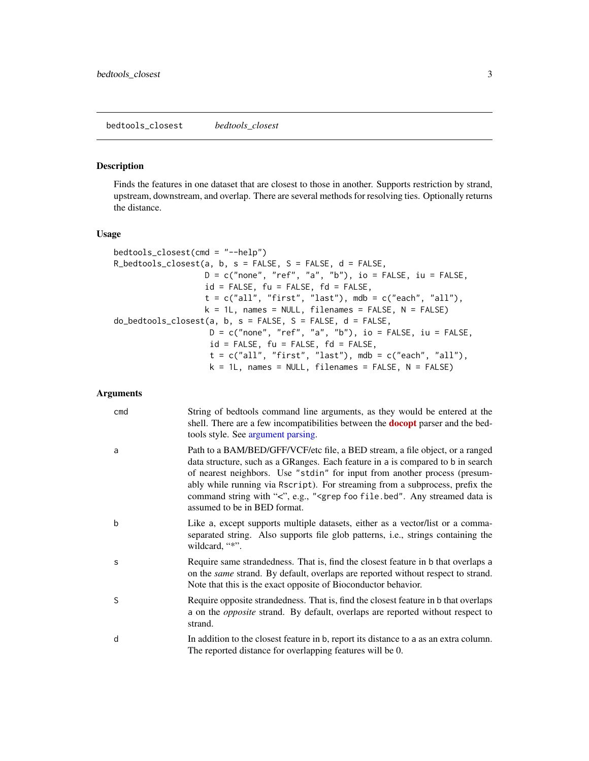#### <span id="page-2-0"></span>Description

Finds the features in one dataset that are closest to those in another. Supports restriction by strand, upstream, downstream, and overlap. There are several methods for resolving ties. Optionally returns the distance.

#### Usage

```
bedtools_closest(cmd = "--help")
R_bedtools_closest(a, b, s = FALSE, S = FALSE, d = FALSE,
                  D = c("none", "ref", "a", "b"), io = FALSE, iv = FALSE,id = FALSE, fu = FALSE, fd = FALSE,
                  t = c("all", "first", "last"), mb = c("each", "all"),k = 1L, names = NULL, filenames = FALSE, N = FALSE)
do\_bedtools\_closest(a, b, s = FALSE, S = FALSE, d = FALSE,D = c("none", "ref", "a", "b"), io = FALSE, iv = FALSE,id = FALSE, fu = FALSE, fd = FALSE,
                    t = c("all", "first", "last"), mb = c("each", "all"),k = 1L, names = NULL, filenames = FALSE, N = FALSE)
```
#### Arguments

| cmd | String of bedtools command line arguments, as they would be entered at the<br>shell. There are a few incompatibilities between the <b>docopt</b> parser and the bed-<br>tools style. See argument parsing.                                                                                                                                                                                                                                                          |
|-----|---------------------------------------------------------------------------------------------------------------------------------------------------------------------------------------------------------------------------------------------------------------------------------------------------------------------------------------------------------------------------------------------------------------------------------------------------------------------|
| a   | Path to a BAM/BED/GFF/VCF/etc file, a BED stream, a file object, or a ranged<br>data structure, such as a GRanges. Each feature in a is compared to b in search<br>of nearest neighbors. Use "stdin" for input from another process (presum-<br>ably while running via Rscript). For streaming from a subprocess, prefix the<br>command string with "<", e.g., " <grep any="" data="" file.bed".="" foo="" is<br="" streamed="">assumed to be in BED format.</grep> |
| b   | Like a, except supports multiple datasets, either as a vector/list or a comma-<br>separated string. Also supports file glob patterns, i.e., strings containing the<br>wildcard, "*".                                                                                                                                                                                                                                                                                |
| S   | Require same strandedness. That is, find the closest feature in b that overlaps a<br>on the <i>same</i> strand. By default, overlaps are reported without respect to strand.<br>Note that this is the exact opposite of Bioconductor behavior.                                                                                                                                                                                                                      |
| S   | Require opposite strandedness. That is, find the closest feature in b that overlaps<br>a on the <i>opposite</i> strand. By default, overlaps are reported without respect to<br>strand.                                                                                                                                                                                                                                                                             |
| d   | In addition to the closest feature in b, report its distance to a as an extra column.<br>The reported distance for overlapping features will be 0.                                                                                                                                                                                                                                                                                                                  |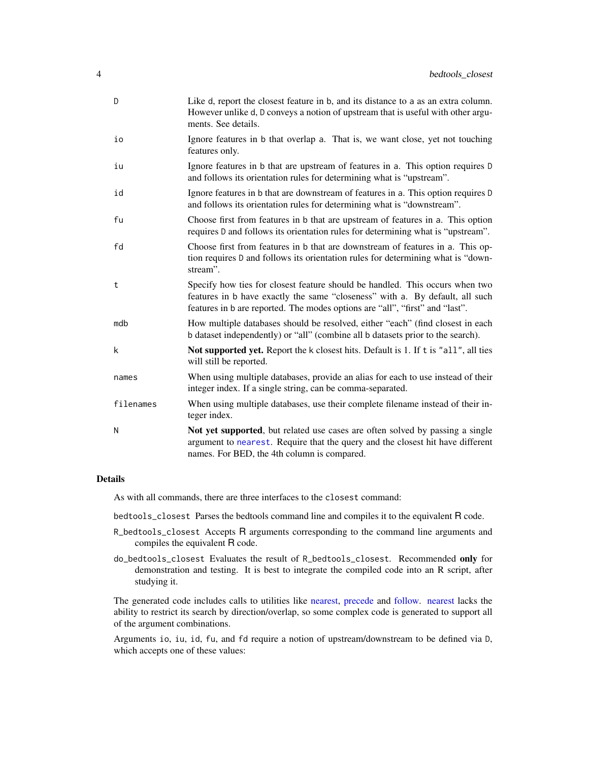<span id="page-3-0"></span>

| D         | Like d, report the closest feature in b, and its distance to a as an extra column.<br>However unlike d, D conveys a notion of upstream that is useful with other argu-<br>ments. See details.                                                |
|-----------|----------------------------------------------------------------------------------------------------------------------------------------------------------------------------------------------------------------------------------------------|
| io        | Ignore features in b that overlap a. That is, we want close, yet not touching<br>features only.                                                                                                                                              |
| iu        | Ignore features in b that are upstream of features in a. This option requires D<br>and follows its orientation rules for determining what is "upstream".                                                                                     |
| id        | Ignore features in b that are downstream of features in a. This option requires D<br>and follows its orientation rules for determining what is "downstream".                                                                                 |
| fu        | Choose first from features in b that are upstream of features in a. This option<br>requires D and follows its orientation rules for determining what is "upstream".                                                                          |
| fd        | Choose first from features in b that are downstream of features in a. This op-<br>tion requires D and follows its orientation rules for determining what is "down-<br>stream".                                                               |
| t         | Specify how ties for closest feature should be handled. This occurs when two<br>features in b have exactly the same "closeness" with a. By default, all such<br>features in b are reported. The modes options are "all", "first" and "last". |
| mdb       | How multiple databases should be resolved, either "each" (find closest in each<br>b dataset independently) or "all" (combine all b datasets prior to the search).                                                                            |
| k         | Not supported yet. Report the k closest hits. Default is 1. If t is "all", all ties<br>will still be reported.                                                                                                                               |
| names     | When using multiple databases, provide an alias for each to use instead of their<br>integer index. If a single string, can be comma-separated.                                                                                               |
| filenames | When using multiple databases, use their complete filename instead of their in-<br>teger index.                                                                                                                                              |
| N         | Not yet supported, but related use cases are often solved by passing a single<br>argument to nearest. Require that the query and the closest hit have different<br>names. For BED, the 4th column is compared.                               |

#### Details

As with all commands, there are three interfaces to the closest command:

bedtools\_closest Parses the bedtools command line and compiles it to the equivalent R code.

- R\_bedtools\_closest Accepts R arguments corresponding to the command line arguments and compiles the equivalent R code.
- do\_bedtools\_closest Evaluates the result of R\_bedtools\_closest. Recommended only for demonstration and testing. It is best to integrate the compiled code into an R script, after studying it.

The generated code includes calls to utilities like [nearest,](#page-0-0) [precede](#page-0-0) and [follow.](#page-0-0) [nearest](#page-0-0) lacks the ability to restrict its search by direction/overlap, so some complex code is generated to support all of the argument combinations.

Arguments io, iu, id, fu, and fd require a notion of upstream/downstream to be defined via D, which accepts one of these values: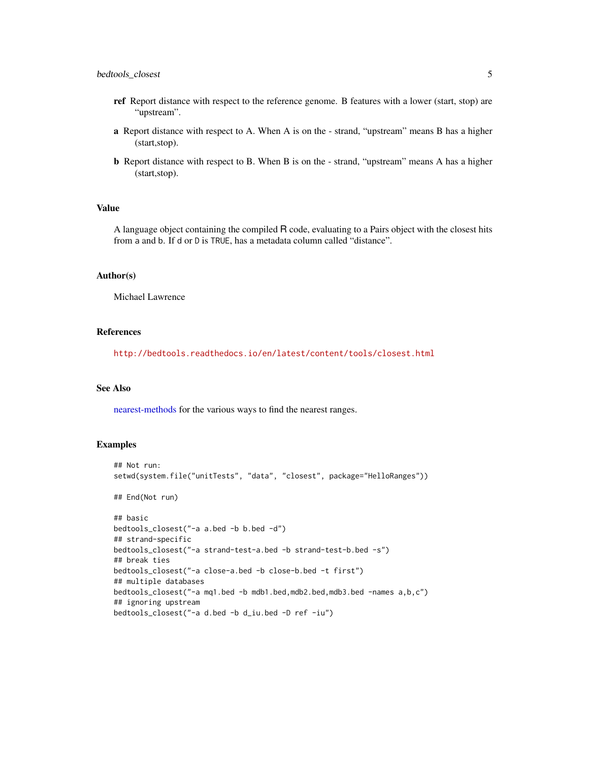- <span id="page-4-0"></span>ref Report distance with respect to the reference genome. B features with a lower (start, stop) are "upstream".
- a Report distance with respect to A. When A is on the strand, "upstream" means B has a higher (start,stop).
- b Report distance with respect to B. When B is on the strand, "upstream" means A has a higher (start,stop).

#### Value

A language object containing the compiled R code, evaluating to a Pairs object with the closest hits from a and b. If d or D is TRUE, has a metadata column called "distance".

#### Author(s)

Michael Lawrence

### References

<http://bedtools.readthedocs.io/en/latest/content/tools/closest.html>

#### See Also

[nearest-methods](#page-0-0) for the various ways to find the nearest ranges.

### Examples

```
## Not run:
setwd(system.file("unitTests", "data", "closest", package="HelloRanges"))
## End(Not run)
## basic
bedtools_closest("-a a.bed -b b.bed -d")
## strand-specific
bedtools_closest("-a strand-test-a.bed -b strand-test-b.bed -s")
## break ties
bedtools_closest("-a close-a.bed -b close-b.bed -t first")
## multiple databases
bedtools_closest("-a mq1.bed -b mdb1.bed,mdb2.bed,mdb3.bed -names a,b,c")
## ignoring upstream
bedtools_closest("-a d.bed -b d_iu.bed -D ref -iu")
```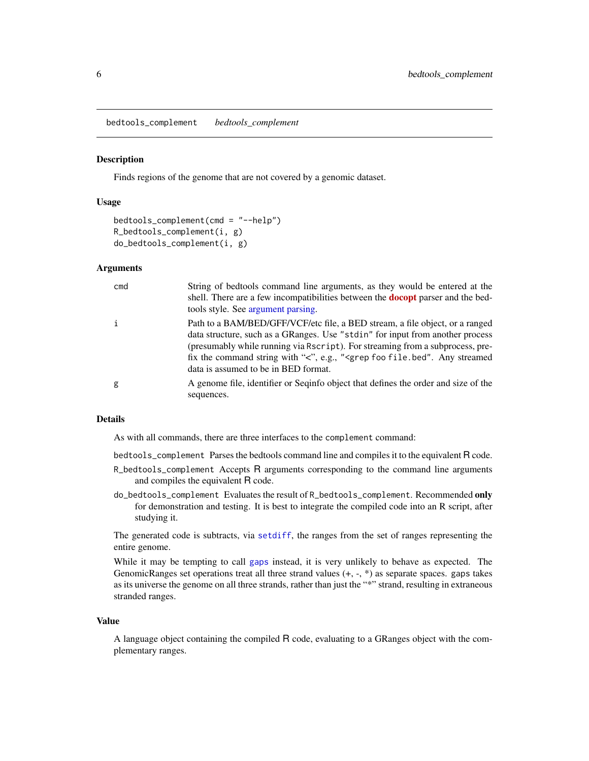<span id="page-5-0"></span>bedtools\_complement *bedtools\_complement*

#### Description

Finds regions of the genome that are not covered by a genomic dataset.

#### Usage

```
bedtools_complement(cmd = "--help")
R_bedtools_complement(i, g)
do_bedtools_complement(i, g)
```
#### Arguments

| cmd | String of bedtools command line arguments, as they would be entered at the<br>shell. There are a few incompatibilities between the <b>docopt</b> parser and the bed-<br>tools style. See argument parsing.                                                                                                                                                                              |
|-----|-----------------------------------------------------------------------------------------------------------------------------------------------------------------------------------------------------------------------------------------------------------------------------------------------------------------------------------------------------------------------------------------|
| i   | Path to a BAM/BED/GFF/VCF/etc file, a BED stream, a file object, or a ranged<br>data structure, such as a GRanges. Use "stdin" for input from another process<br>(presumably while running via Rscript). For streaming from a subprocess, pre-<br>fix the command string with "<", e.g., " <grep any="" file.bed".="" foo="" streamed<br="">data is assumed to be in BED format.</grep> |
| g   | A genome file, identifier or Seqinfo object that defines the order and size of the<br>sequences.                                                                                                                                                                                                                                                                                        |

### Details

As with all commands, there are three interfaces to the complement command:

bedtools\_complement Parses the bedtools command line and compiles it to the equivalent R code.

- R\_bedtools\_complement Accepts R arguments corresponding to the command line arguments and compiles the equivalent R code.
- do\_bedtools\_complement Evaluates the result of R\_bedtools\_complement. Recommended only for demonstration and testing. It is best to integrate the compiled code into an R script, after studying it.

The generated code is subtracts, via [setdiff](#page-0-0), the ranges from the set of ranges representing the entire genome.

While it may be tempting to call [gaps](#page-0-0) instead, it is very unlikely to behave as expected. The GenomicRanges set operations treat all three strand values (+, -, \*) as separate spaces. gaps takes as its universe the genome on all three strands, rather than just the "\*" strand, resulting in extraneous stranded ranges.

#### Value

A language object containing the compiled R code, evaluating to a GRanges object with the complementary ranges.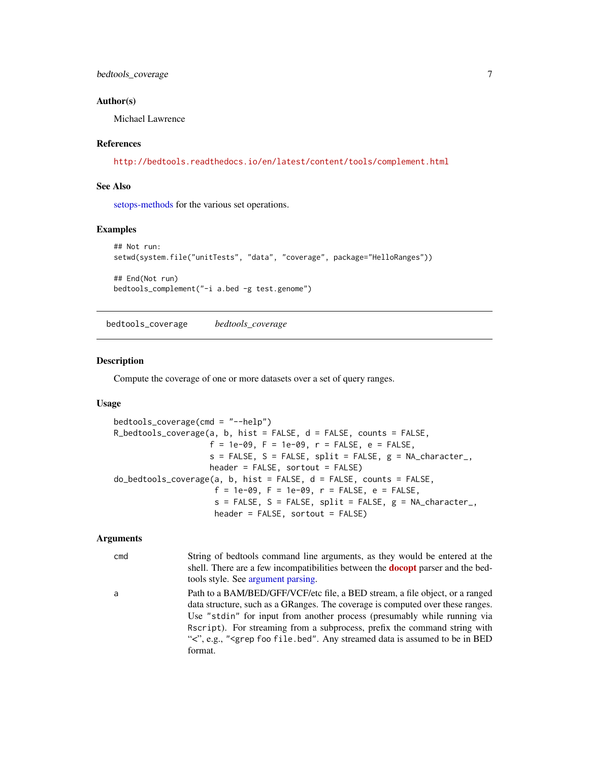### <span id="page-6-0"></span>bedtools\_coverage 7

#### Author(s)

Michael Lawrence

#### References

<http://bedtools.readthedocs.io/en/latest/content/tools/complement.html>

### See Also

[setops-methods](#page-0-0) for the various set operations.

#### Examples

```
## Not run:
setwd(system.file("unitTests", "data", "coverage", package="HelloRanges"))
## End(Not run)
bedtools_complement("-i a.bed -g test.genome")
```
bedtools\_coverage *bedtools\_coverage*

#### **Description**

Compute the coverage of one or more datasets over a set of query ranges.

#### Usage

```
bedtools_coverage(cmd = "--help")
R_bedtools_coverage(a, b, hist = FALSE, d = FALSE, counts = FALSE,
                    f = 1e-09, F = 1e-09, r = FALSE, e = FALSE,
                    s = FALSE, S = FALSE, split = FALSE, g = NA_character_,
                    header = FALSE, sortout = FALSE)
do_bedtools_coverage(a, b, hist = FALSE, d = FALSE, counts = FALSE,
                     f = 1e-09, F = 1e-09, r = FALSE, e = FALSE,
                     s = FALSE, S = FALSE, split = FALSE, g = NA_character_,
                     header = FALSE, sortout = FALSE)
```
#### Arguments

cmd String of bedtools command line arguments, as they would be entered at the shell. There are a few incompatibilities between the **[docopt](https://CRAN.R-project.org/package=docopt)** parser and the bedtools style. See [argument parsing.](#page-1-1) a Path to a BAM/BED/GFF/VCF/etc file, a BED stream, a file object, or a ranged data structure, such as a GRanges. The coverage is computed over these ranges.

Use "stdin" for input from another process (presumably while running via Rscript). For streaming from a subprocess, prefix the command string with "<", e.g., "<grep foo file.bed". Any streamed data is assumed to be in BED format.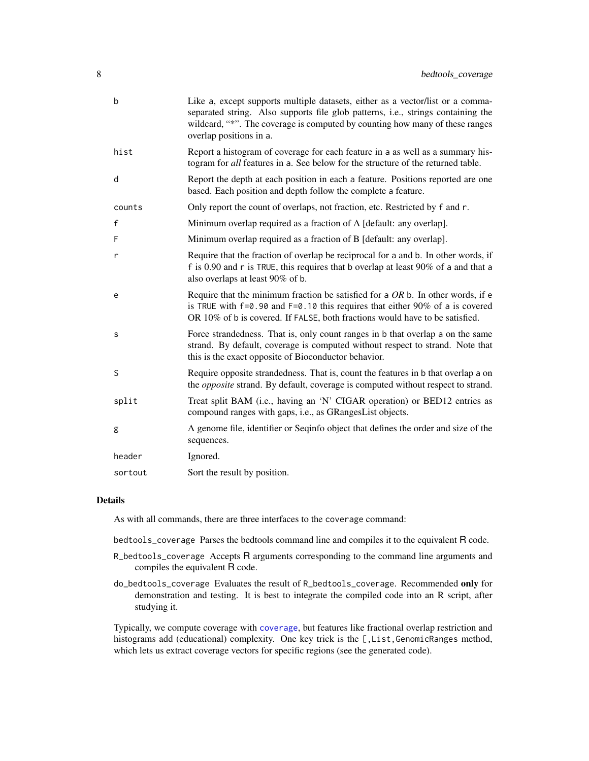<span id="page-7-0"></span>

| b            | Like a, except supports multiple datasets, either as a vector/list or a comma-<br>separated string. Also supports file glob patterns, i.e., strings containing the<br>wildcard, "*". The coverage is computed by counting how many of these ranges<br>overlap positions in a. |
|--------------|-------------------------------------------------------------------------------------------------------------------------------------------------------------------------------------------------------------------------------------------------------------------------------|
| hist         | Report a histogram of coverage for each feature in a as well as a summary his-<br>togram for all features in a. See below for the structure of the returned table.                                                                                                            |
| d            | Report the depth at each position in each a feature. Positions reported are one<br>based. Each position and depth follow the complete a feature.                                                                                                                              |
| counts       | Only report the count of overlaps, not fraction, etc. Restricted by f and r.                                                                                                                                                                                                  |
| $\mathsf{f}$ | Minimum overlap required as a fraction of A [default: any overlap].                                                                                                                                                                                                           |
| F            | Minimum overlap required as a fraction of B [default: any overlap].                                                                                                                                                                                                           |
| r            | Require that the fraction of overlap be reciprocal for a and b. In other words, if<br>f is 0.90 and r is TRUE, this requires that b overlap at least 90% of a and that a<br>also overlaps at least 90% of b.                                                                  |
| e            | Require that the minimum fraction be satisfied for a $OR$ b. In other words, if e<br>is TRUE with $f=0.90$ and $F=0.10$ this requires that either 90% of a is covered<br>OR 10% of b is covered. If FALSE, both fractions would have to be satisfied.                         |
| s            | Force strandedness. That is, only count ranges in b that overlap a on the same<br>strand. By default, coverage is computed without respect to strand. Note that<br>this is the exact opposite of Bioconductor behavior.                                                       |
| S            | Require opposite strandedness. That is, count the features in b that overlap a on<br>the <i>opposite</i> strand. By default, coverage is computed without respect to strand.                                                                                                  |
| split        | Treat split BAM (i.e., having an 'N' CIGAR operation) or BED12 entries as<br>compound ranges with gaps, i.e., as GRangesList objects.                                                                                                                                         |
| g            | A genome file, identifier or Seqinfo object that defines the order and size of the<br>sequences.                                                                                                                                                                              |
| header       | Ignored.                                                                                                                                                                                                                                                                      |
| sortout      | Sort the result by position.                                                                                                                                                                                                                                                  |

#### Details

As with all commands, there are three interfaces to the coverage command:

bedtools\_coverage Parses the bedtools command line and compiles it to the equivalent R code.

- R\_bedtools\_coverage Accepts R arguments corresponding to the command line arguments and compiles the equivalent R code.
- do\_bedtools\_coverage Evaluates the result of R\_bedtools\_coverage. Recommended only for demonstration and testing. It is best to integrate the compiled code into an R script, after studying it.

Typically, we compute coverage with [coverage](#page-0-0), but features like fractional overlap restriction and histograms add (educational) complexity. One key trick is the [, List, GenomicRanges method, which lets us extract coverage vectors for specific regions (see the generated code).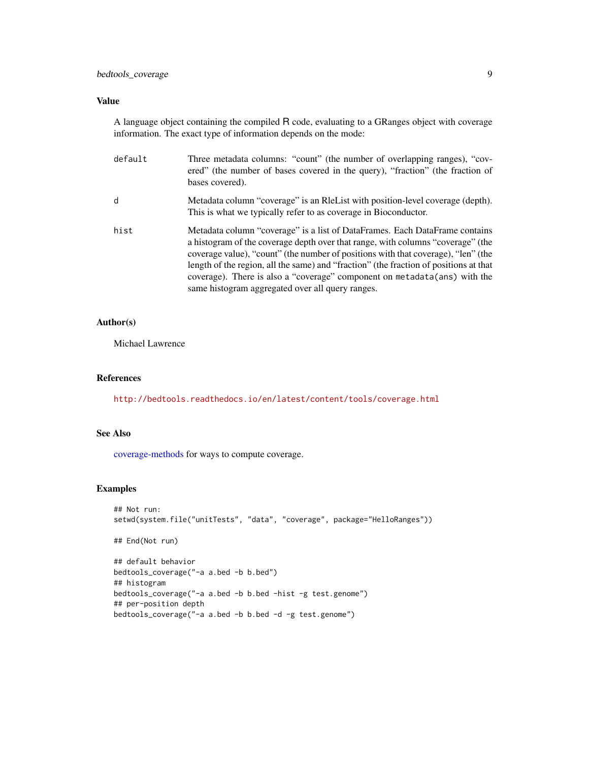### <span id="page-8-0"></span>bedtools\_coverage 9

### Value

A language object containing the compiled R code, evaluating to a GRanges object with coverage information. The exact type of information depends on the mode:

| default | Three metadata columns: "count" (the number of overlapping ranges), "cov-<br>ered" (the number of bases covered in the query), "fraction" (the fraction of<br>bases covered).                                                                                                                                                                                                                                                                                                 |
|---------|-------------------------------------------------------------------------------------------------------------------------------------------------------------------------------------------------------------------------------------------------------------------------------------------------------------------------------------------------------------------------------------------------------------------------------------------------------------------------------|
| d       | Metadata column "coverage" is an Relatist with position-level coverage (depth).<br>This is what we typically refer to as coverage in Bioconductor.                                                                                                                                                                                                                                                                                                                            |
| hist    | Metadata column "coverage" is a list of DataFrames. Each DataFrame contains<br>a histogram of the coverage depth over that range, with columns "coverage" (the<br>coverage value), "count" (the number of positions with that coverage), "len" (the<br>length of the region, all the same) and "fraction" (the fraction of positions at that<br>coverage). There is also a "coverage" component on metadata(ans) with the<br>same histogram aggregated over all query ranges. |

### Author(s)

Michael Lawrence

#### References

<http://bedtools.readthedocs.io/en/latest/content/tools/coverage.html>

### See Also

[coverage-methods](#page-0-0) for ways to compute coverage.

### Examples

```
## Not run:
setwd(system.file("unitTests", "data", "coverage", package="HelloRanges"))
```

```
## End(Not run)
```

```
## default behavior
bedtools_coverage("-a a.bed -b b.bed")
## histogram
bedtools_coverage("-a a.bed -b b.bed -hist -g test.genome")
## per-position depth
bedtools_coverage("-a a.bed -b b.bed -d -g test.genome")
```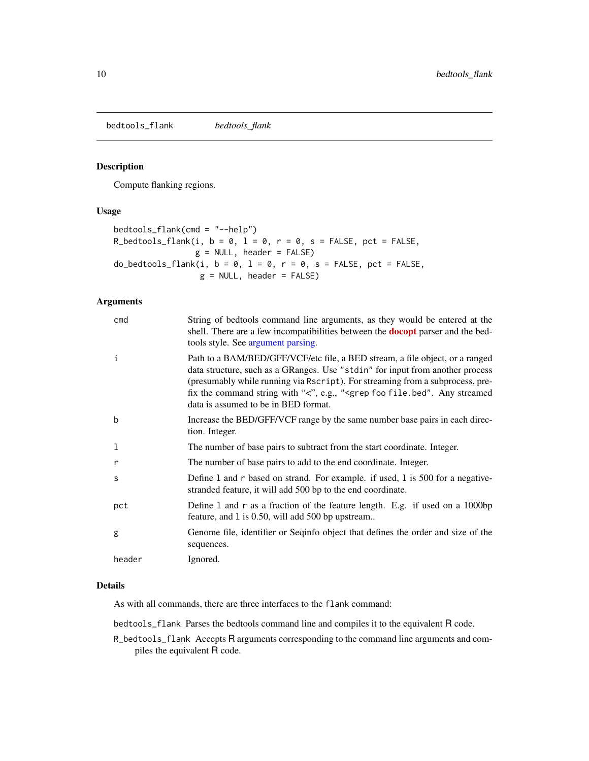<span id="page-9-0"></span>bedtools\_flank *bedtools\_flank*

#### Description

Compute flanking regions.

### Usage

```
bedtools_flank(cmd = "--help")
R_bedtools_flank(i, b = 0, l = 0, r = 0, s = FALSE, pct = FALSE,
                g = NULL, header = FALSE)
do_bedtools_flank(i, b = 0, l = 0, r = 0, s = FALSE, pct = FALSE,
                  g = NULL, header = FALSE)
```
### Arguments

| cmd    | String of bedtools command line arguments, as they would be entered at the<br>shell. There are a few incompatibilities between the <b>docopt</b> parser and the bed-<br>tools style. See argument parsing.                                                                                                                                                                              |
|--------|-----------------------------------------------------------------------------------------------------------------------------------------------------------------------------------------------------------------------------------------------------------------------------------------------------------------------------------------------------------------------------------------|
| i      | Path to a BAM/BED/GFF/VCF/etc file, a BED stream, a file object, or a ranged<br>data structure, such as a GRanges. Use "stdin" for input from another process<br>(presumably while running via Rscript). For streaming from a subprocess, pre-<br>fix the command string with "<", e.g., " <grep any="" file.bed".="" foo="" streamed<br="">data is assumed to be in BED format.</grep> |
| b      | Increase the BED/GFF/VCF range by the same number base pairs in each direc-<br>tion. Integer.                                                                                                                                                                                                                                                                                           |
| 1      | The number of base pairs to subtract from the start coordinate. Integer.                                                                                                                                                                                                                                                                                                                |
| r      | The number of base pairs to add to the end coordinate. Integer.                                                                                                                                                                                                                                                                                                                         |
| S      | Define 1 and r based on strand. For example. if used, 1 is 500 for a negative-<br>stranded feature, it will add 500 bp to the end coordinate.                                                                                                                                                                                                                                           |
| pct    | Define 1 and r as a fraction of the feature length. E.g. if used on a 1000bp<br>feature, and 1 is 0.50, will add 500 bp upstream                                                                                                                                                                                                                                                        |
| g      | Genome file, identifier or Seqinfo object that defines the order and size of the<br>sequences.                                                                                                                                                                                                                                                                                          |
| header | Ignored.                                                                                                                                                                                                                                                                                                                                                                                |

### Details

As with all commands, there are three interfaces to the flank command:

bedtools\_flank Parses the bedtools command line and compiles it to the equivalent R code.

R\_bedtools\_flank Accepts R arguments corresponding to the command line arguments and compiles the equivalent R code.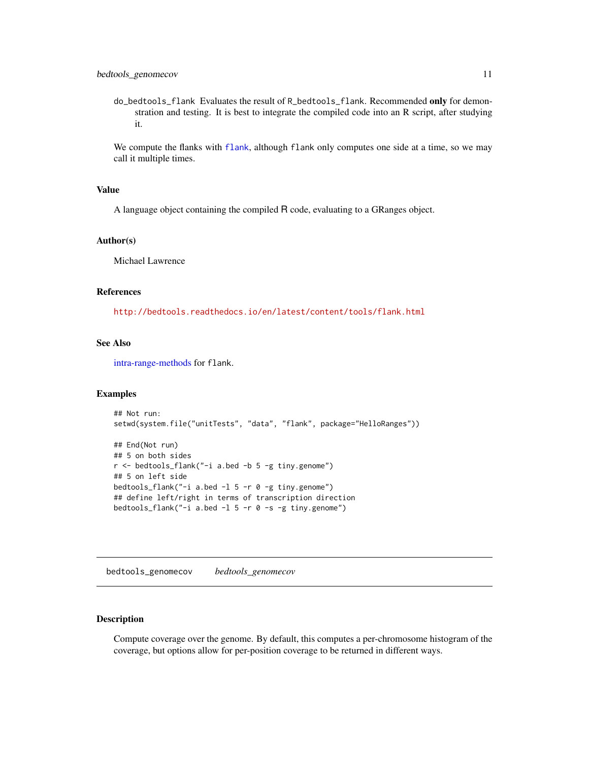<span id="page-10-0"></span>do\_bedtools\_flank Evaluates the result of R\_bedtools\_flank. Recommended only for demonstration and testing. It is best to integrate the compiled code into an R script, after studying it.

We compute the [flank](#page-0-0)s with flank, although flank only computes one side at a time, so we may call it multiple times.

### Value

A language object containing the compiled R code, evaluating to a GRanges object.

#### Author(s)

Michael Lawrence

#### References

<http://bedtools.readthedocs.io/en/latest/content/tools/flank.html>

### See Also

[intra-range-methods](#page-0-0) for flank.

#### Examples

```
## Not run:
setwd(system.file("unitTests", "data", "flank", package="HelloRanges"))
## End(Not run)
## 5 on both sides
r <- bedtools_flank("-i a.bed -b 5 -g tiny.genome")
## 5 on left side
bedtools_flank("-i a.bed -1 5 -r 0 -g tiny.genome")
## define left/right in terms of transcription direction
bedtools_flank("-i a.bed -l 5 -r 0 -s -g tiny.genome")
```
bedtools\_genomecov *bedtools\_genomecov*

### Description

Compute coverage over the genome. By default, this computes a per-chromosome histogram of the coverage, but options allow for per-position coverage to be returned in different ways.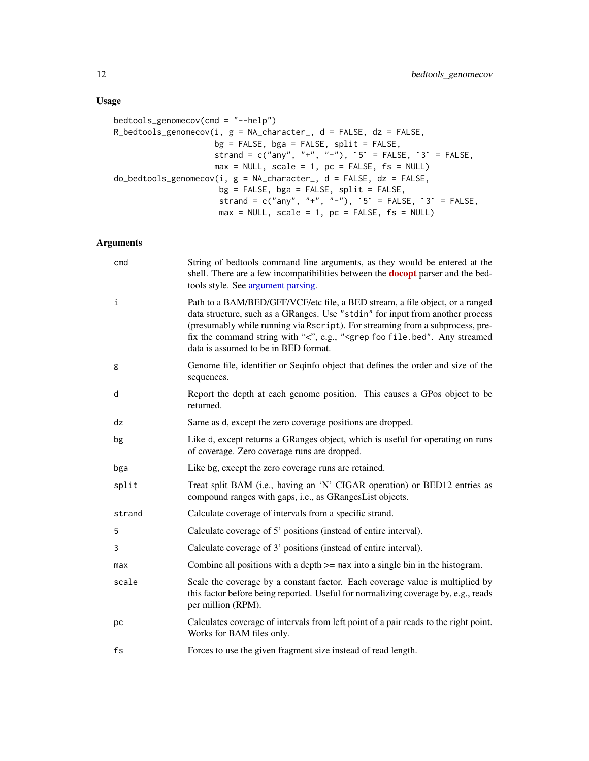### Usage

```
bedtools_genomecov(cmd = "--help")
R_bedtools_genomecov(i, g = NA_{character}, d = FALSE, dz = FALSE,
                    bg = FALSE, bga = FALSE, split = FALSE,strand = c("any", "+", "-"), 5' = FALSE, '3' = FALSE,max = NULL, scale = 1, pc = FALSE, fs = NULL)
do_bedtools_genomecov(i, g = NA_ccharacter_, d = FALSE, dz = FALSE,bg = FALSE, bga = FALSE, split = FALSE,strand = c("any", "+", "-"), 5 = FALSE, 3 = FALSE,max = NULL, scale = 1, pc = FALSE, fs = NULL)
```
### Arguments

| cmd    | String of bedtools command line arguments, as they would be entered at the<br>shell. There are a few incompatibilities between the <b>docopt</b> parser and the bed-<br>tools style. See argument parsing.                                                                                                                                                                              |
|--------|-----------------------------------------------------------------------------------------------------------------------------------------------------------------------------------------------------------------------------------------------------------------------------------------------------------------------------------------------------------------------------------------|
| i      | Path to a BAM/BED/GFF/VCF/etc file, a BED stream, a file object, or a ranged<br>data structure, such as a GRanges. Use "stdin" for input from another process<br>(presumably while running via Rscript). For streaming from a subprocess, pre-<br>fix the command string with "<", e.g., " <grep any="" file.bed".="" foo="" streamed<br="">data is assumed to be in BED format.</grep> |
| g      | Genome file, identifier or Seqinfo object that defines the order and size of the<br>sequences.                                                                                                                                                                                                                                                                                          |
| d      | Report the depth at each genome position. This causes a GPos object to be<br>returned.                                                                                                                                                                                                                                                                                                  |
| dz     | Same as d, except the zero coverage positions are dropped.                                                                                                                                                                                                                                                                                                                              |
| bg     | Like d, except returns a GRanges object, which is useful for operating on runs<br>of coverage. Zero coverage runs are dropped.                                                                                                                                                                                                                                                          |
| bga    | Like bg, except the zero coverage runs are retained.                                                                                                                                                                                                                                                                                                                                    |
| split  | Treat split BAM (i.e., having an 'N' CIGAR operation) or BED12 entries as<br>compound ranges with gaps, i.e., as GRangesList objects.                                                                                                                                                                                                                                                   |
| strand | Calculate coverage of intervals from a specific strand.                                                                                                                                                                                                                                                                                                                                 |
| 5      | Calculate coverage of 5' positions (instead of entire interval).                                                                                                                                                                                                                                                                                                                        |
| 3      | Calculate coverage of 3' positions (instead of entire interval).                                                                                                                                                                                                                                                                                                                        |
| max    | Combine all positions with a depth $\geq$ max into a single bin in the histogram.                                                                                                                                                                                                                                                                                                       |
| scale  | Scale the coverage by a constant factor. Each coverage value is multiplied by<br>this factor before being reported. Useful for normalizing coverage by, e.g., reads<br>per million (RPM).                                                                                                                                                                                               |
| рc     | Calculates coverage of intervals from left point of a pair reads to the right point.<br>Works for BAM files only.                                                                                                                                                                                                                                                                       |
| fs     | Forces to use the given fragment size instead of read length.                                                                                                                                                                                                                                                                                                                           |

<span id="page-11-0"></span>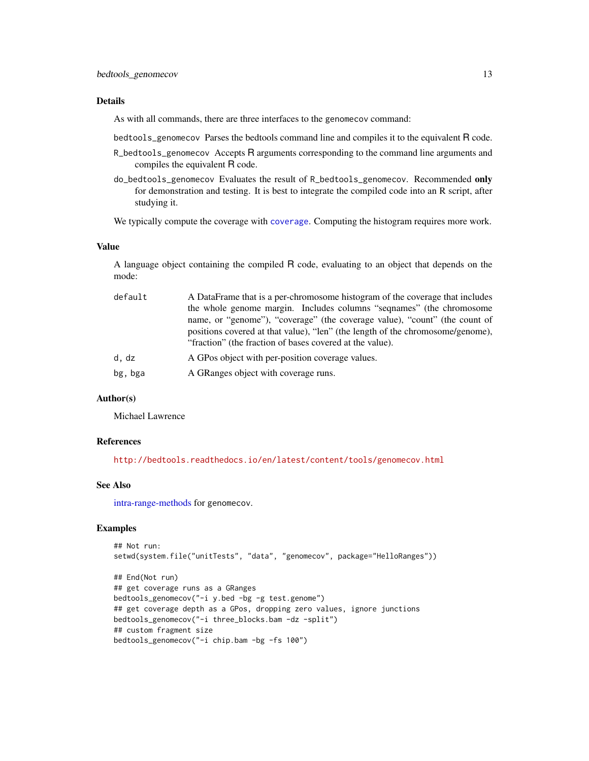#### <span id="page-12-0"></span>Details

As with all commands, there are three interfaces to the genomecov command:

bedtools\_genomecov Parses the bedtools command line and compiles it to the equivalent R code.

- R\_bedtools\_genomecov Accepts R arguments corresponding to the command line arguments and compiles the equivalent R code.
- do\_bedtools\_genomecov Evaluates the result of R\_bedtools\_genomecov. Recommended only for demonstration and testing. It is best to integrate the compiled code into an R script, after studying it.

We typically compute the coverage with [coverage](#page-0-0). Computing the histogram requires more work.

#### Value

A language object containing the compiled R code, evaluating to an object that depends on the mode:

| default | A DataFrame that is a per-chromosome histogram of the coverage that includes                                                               |
|---------|--------------------------------------------------------------------------------------------------------------------------------------------|
|         | the whole genome margin. Includes columns "sequames" (the chromosome                                                                       |
|         | name, or "genome"), "coverage" (the coverage value), "count" (the count of                                                                 |
|         | positions covered at that value), "len" (the length of the chromosome/genome),<br>"fraction" (the fraction of bases covered at the value). |
| d, dz   | A GPos object with per-position coverage values.                                                                                           |
| bg, bga | A GRanges object with coverage runs.                                                                                                       |

#### Author(s)

Michael Lawrence

#### References

<http://bedtools.readthedocs.io/en/latest/content/tools/genomecov.html>

#### See Also

[intra-range-methods](#page-0-0) for genomecov.

### Examples

```
## Not run:
setwd(system.file("unitTests", "data", "genomecov", package="HelloRanges"))
## End(Not run)
## get coverage runs as a GRanges
bedtools_genomecov("-i y.bed -bg -g test.genome")
## get coverage depth as a GPos, dropping zero values, ignore junctions
bedtools_genomecov("-i three_blocks.bam -dz -split")
## custom fragment size
bedtools_genomecov("-i chip.bam -bg -fs 100")
```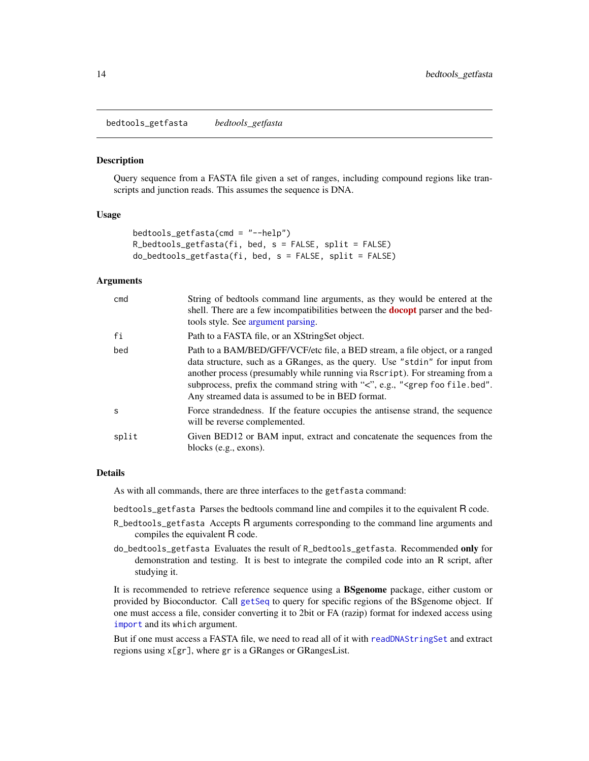<span id="page-13-0"></span>bedtools\_getfasta *bedtools\_getfasta*

#### **Description**

Query sequence from a FASTA file given a set of ranges, including compound regions like transcripts and junction reads. This assumes the sequence is DNA.

#### Usage

```
bedtools_getfasta(cmd = "--help")
R_bedtools_getfasta(fi, bed, s = FALSE, split = FALSE)
do_bedtools_getfasta(fi, bed, s = FALSE, split = FALSE)
```
#### Arguments

| cmd          | String of bedtools command line arguments, as they would be entered at the<br>shell. There are a few incompatibilities between the <b>docopt</b> parser and the bed-<br>tools style. See argument parsing.                                                                                                                                                                                  |
|--------------|---------------------------------------------------------------------------------------------------------------------------------------------------------------------------------------------------------------------------------------------------------------------------------------------------------------------------------------------------------------------------------------------|
| fi           | Path to a FASTA file, or an XStringSet object.                                                                                                                                                                                                                                                                                                                                              |
| bed          | Path to a BAM/BED/GFF/VCF/etc file, a BED stream, a file object, or a ranged<br>data structure, such as a GRanges, as the query. Use "stdin" for input from<br>another process (presumably while running via Rscript). For streaming from a<br>subprocess, prefix the command string with " $\lt$ ", e.g., " $\lt$ grep foo file.bed".<br>Any streamed data is assumed to be in BED format. |
| <sub>S</sub> | Force strandedness. If the feature occupies the antisense strand, the sequence<br>will be reverse complemented.                                                                                                                                                                                                                                                                             |
| split        | Given BED12 or BAM input, extract and concatenate the sequences from the<br>blocks (e.g., exons).                                                                                                                                                                                                                                                                                           |

#### Details

As with all commands, there are three interfaces to the getfasta command:

bedtools\_getfasta Parses the bedtools command line and compiles it to the equivalent R code.

- R\_bedtools\_getfasta Accepts R arguments corresponding to the command line arguments and compiles the equivalent R code.
- do\_bedtools\_getfasta Evaluates the result of R\_bedtools\_getfasta. Recommended only for demonstration and testing. It is best to integrate the compiled code into an R script, after studying it.

It is recommended to retrieve reference sequence using a BSgenome package, either custom or provided by Bioconductor. Call [getSeq](#page-0-0) to query for specific regions of the BSgenome object. If one must access a file, consider converting it to 2bit or FA (razip) format for indexed access using [import](#page-0-0) and its which argument.

But if one must access a FASTA file, we need to read all of it with [readDNAStringSet](#page-0-0) and extract regions using x[gr], where gr is a GRanges or GRangesList.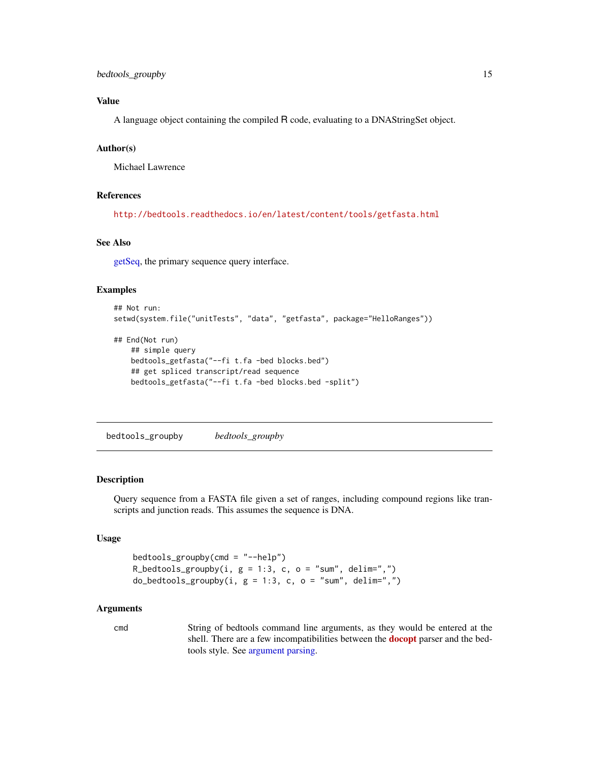### <span id="page-14-0"></span>bedtools\_groupby 15

### Value

A language object containing the compiled R code, evaluating to a DNAStringSet object.

### Author(s)

Michael Lawrence

#### References

<http://bedtools.readthedocs.io/en/latest/content/tools/getfasta.html>

### See Also

[getSeq,](#page-0-0) the primary sequence query interface.

#### Examples

```
## Not run:
setwd(system.file("unitTests", "data", "getfasta", package="HelloRanges"))
## End(Not run)
    ## simple query
   bedtools_getfasta("--fi t.fa -bed blocks.bed")
   ## get spliced transcript/read sequence
   bedtools_getfasta("--fi t.fa -bed blocks.bed -split")
```
<span id="page-14-1"></span>bedtools\_groupby *bedtools\_groupby*

#### Description

Query sequence from a FASTA file given a set of ranges, including compound regions like transcripts and junction reads. This assumes the sequence is DNA.

### Usage

```
bedtools\_groupby(cmd = "--help")R_bedtools_groupby(i, g = 1:3, c, o = "sum", delim=",")
do\_bedtools\_groupby(i, g = 1:3, c, o = "sum", delim="",")
```
#### Arguments

cmd String of bedtools command line arguments, as they would be entered at the shell. There are a few incompatibilities between the **[docopt](https://CRAN.R-project.org/package=docopt)** parser and the bedtools style. See [argument parsing.](#page-1-1)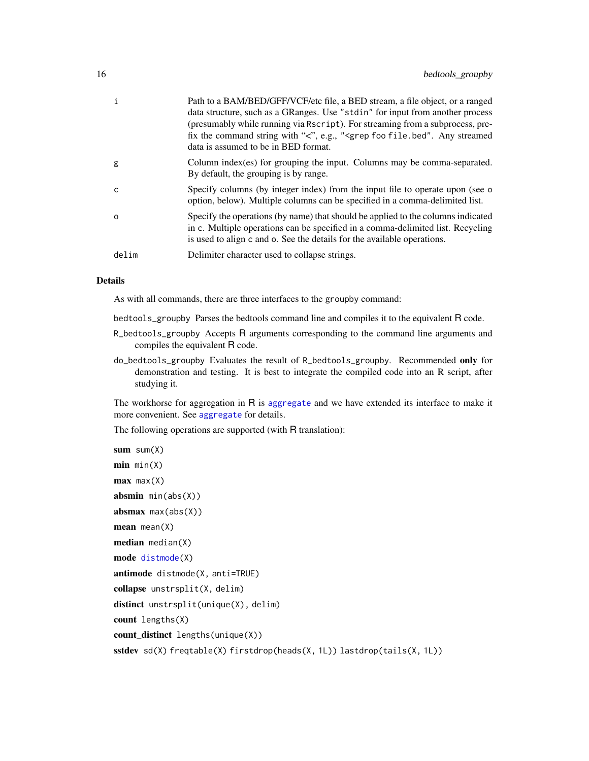<span id="page-15-0"></span>

| i        | Path to a BAM/BED/GFF/VCF/etc file, a BED stream, a file object, or a ranged<br>data structure, such as a GRanges. Use "stdin" for input from another process<br>(presumably while running via Rscript). For streaming from a subprocess, pre-<br>fix the command string with "<", e.g., " <grep any="" file.bed".="" foo="" streamed<br="">data is assumed to be in BED format.</grep> |
|----------|-----------------------------------------------------------------------------------------------------------------------------------------------------------------------------------------------------------------------------------------------------------------------------------------------------------------------------------------------------------------------------------------|
| g        | Column index(es) for grouping the input. Columns may be comma-separated.<br>By default, the grouping is by range.                                                                                                                                                                                                                                                                       |
| C        | Specify columns (by integer index) from the input file to operate upon (see o<br>option, below). Multiple columns can be specified in a comma-delimited list.                                                                                                                                                                                                                           |
| $\Omega$ | Specify the operations (by name) that should be applied to the columns indicated<br>in c. Multiple operations can be specified in a comma-delimited list. Recycling<br>is used to align c and o. See the details for the available operations.                                                                                                                                          |
| delim    | Delimiter character used to collapse strings.                                                                                                                                                                                                                                                                                                                                           |

#### Details

As with all commands, there are three interfaces to the groupby command:

bedtools\_groupby Parses the bedtools command line and compiles it to the equivalent R code.

- R\_bedtools\_groupby Accepts R arguments corresponding to the command line arguments and compiles the equivalent R code.
- do\_bedtools\_groupby Evaluates the result of R\_bedtools\_groupby. Recommended only for demonstration and testing. It is best to integrate the compiled code into an R script, after studying it.

The workhorse for aggregation in R is [aggregate](#page-0-0) and we have extended its interface to make it more convenient. See [aggregate](#page-0-0) for details.

The following operations are supported (with R translation):

```
sum sum(x)min min(X)max max(X)absmin min(abs(X))absmax max(abs(X))mean mean(X)median median(X)
mode distmode(X)
antimode distmode(X, anti=TRUE)
collapse unstrsplit(X, delim)
distinct unstrsplit(unique(X), delim)
count lengths(X)
count_distinct lengths(unique(X))
sstdev sd(X) freqtable(X) firstdrop(heads(X, 1L)) lastdrop(tails(X, 1L))
```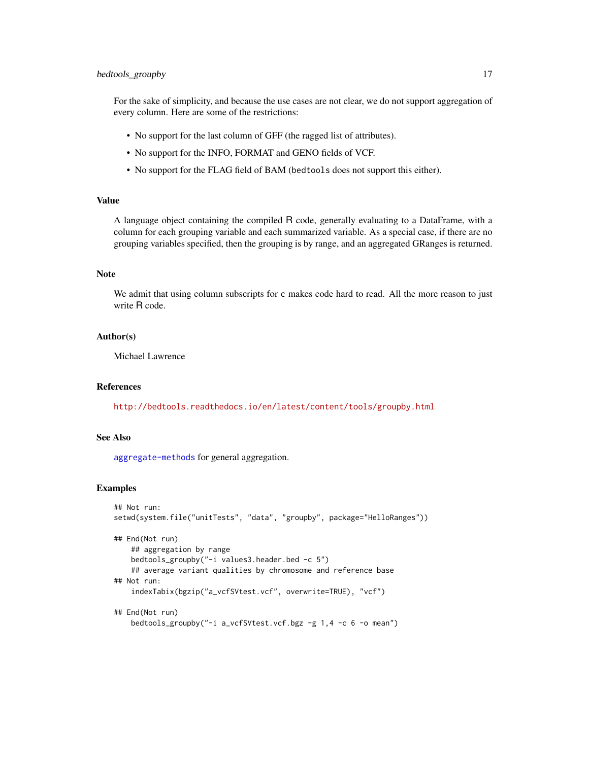### bedtools\_groupby 17

For the sake of simplicity, and because the use cases are not clear, we do not support aggregation of every column. Here are some of the restrictions:

- No support for the last column of GFF (the ragged list of attributes).
- No support for the INFO, FORMAT and GENO fields of VCF.
- No support for the FLAG field of BAM (bedtools does not support this either).

### Value

A language object containing the compiled R code, generally evaluating to a DataFrame, with a column for each grouping variable and each summarized variable. As a special case, if there are no grouping variables specified, then the grouping is by range, and an aggregated GRanges is returned.

### Note

We admit that using column subscripts for c makes code hard to read. All the more reason to just write R code.

#### Author(s)

Michael Lawrence

### References

<http://bedtools.readthedocs.io/en/latest/content/tools/groupby.html>

#### See Also

[aggregate-methods](#page-0-0) for general aggregation.

#### Examples

```
## Not run:
setwd(system.file("unitTests", "data", "groupby", package="HelloRanges"))
## End(Not run)
    ## aggregation by range
   bedtools_groupby("-i values3.header.bed -c 5")
    ## average variant qualities by chromosome and reference base
## Not run:
    indexTabix(bgzip("a_vcfSVtest.vcf", overwrite=TRUE), "vcf")
## End(Not run)
    bedtools_groupby("-i a_vcfSVtest.vcf.bgz -g 1,4 -c 6 -o mean")
```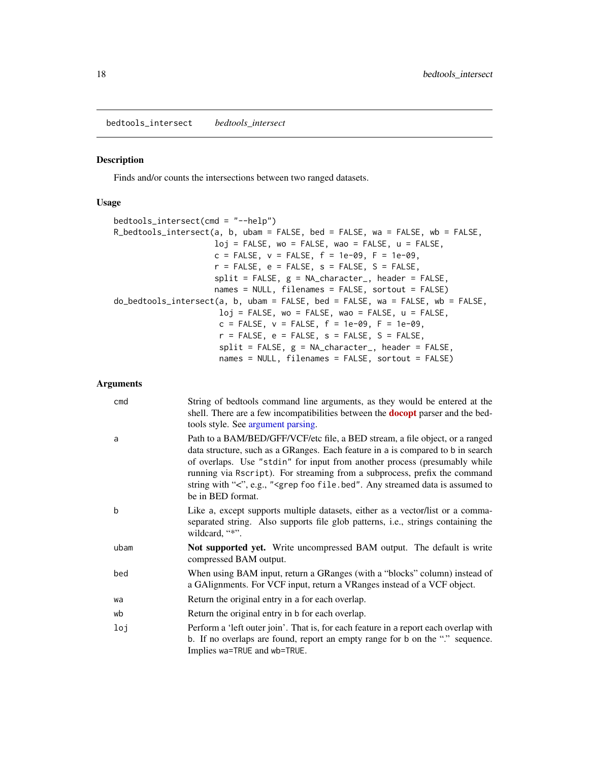<span id="page-17-1"></span><span id="page-17-0"></span>bedtools\_intersect *bedtools\_intersect*

#### Description

Finds and/or counts the intersections between two ranged datasets.

#### Usage

```
bedtools_intersect(cmd = "--help")
R_bedtools_intersect(a, b, ubam = FALSE, bed = FALSE, wa = FALSE, wb = FALSE,
                     loj = FALSE, wo = FALSE, wao = FALSE, u = FALSE,
                     c = FALSE, v = FALSE, f = 1e-09, F = 1e-09,
                     r = FALSE, e = FALSE, s = FALSE, S = FALSE,
                     split = FALSE, g = NA_{character_{n}}, header = FALSE,names = NULL, filenames = FALSE, sortout = FALSE)
do_bedtools_intersect(a, b, ubam = FALSE, bed = FALSE, wa = FALSE, wb = FALSE,
                      loj = FALSE, wo = FALSE, wao = FALSE, u = FALSE,
                      c = FALSE, v = FALSE, f = 1e-09, F = 1e-09,
                      r = FALSE, e = FALSE, s = FALSE, S = FALSE,
                      split = FALSE, g = NA_{character_{1}}, header = FALSE,names = NULL, filenames = FALSE, sortout = FALSE)
```
### Arguments

| cmd  | String of bedtools command line arguments, as they would be entered at the<br>shell. There are a few incompatibilities between the <b>docopt</b> parser and the bed-<br>tools style. See argument parsing.                                                                                                                                                                                                                                 |
|------|--------------------------------------------------------------------------------------------------------------------------------------------------------------------------------------------------------------------------------------------------------------------------------------------------------------------------------------------------------------------------------------------------------------------------------------------|
| a    | Path to a BAM/BED/GFF/VCF/etc file, a BED stream, a file object, or a ranged<br>data structure, such as a GRanges. Each feature in a is compared to b in search<br>of overlaps. Use "stdin" for input from another process (presumably while<br>running via Rscript). For streaming from a subprocess, prefix the command<br>string with " $\lt$ ", e.g., " $\lt$ grep foo file.bed". Any streamed data is assumed to<br>be in BED format. |
| b    | Like a, except supports multiple datasets, either as a vector/list or a comma-<br>separated string. Also supports file glob patterns, <i>i.e.</i> , strings containing the<br>wildcard, "*".                                                                                                                                                                                                                                               |
| ubam | <b>Not supported yet.</b> Write uncompressed BAM output. The default is write<br>compressed BAM output.                                                                                                                                                                                                                                                                                                                                    |
| bed  | When using BAM input, return a GRanges (with a "blocks" column) instead of<br>a GAlignments. For VCF input, return a VRanges instead of a VCF object.                                                                                                                                                                                                                                                                                      |
| wa   | Return the original entry in a for each overlap.                                                                                                                                                                                                                                                                                                                                                                                           |
| wb   | Return the original entry in b for each overlap.                                                                                                                                                                                                                                                                                                                                                                                           |
| loj  | Perform a 'left outer join'. That is, for each feature in a report each overlap with<br>b. If no overlaps are found, report an empty range for b on the "." sequence.<br>Implies wa=TRUE and wb=TRUE.                                                                                                                                                                                                                                      |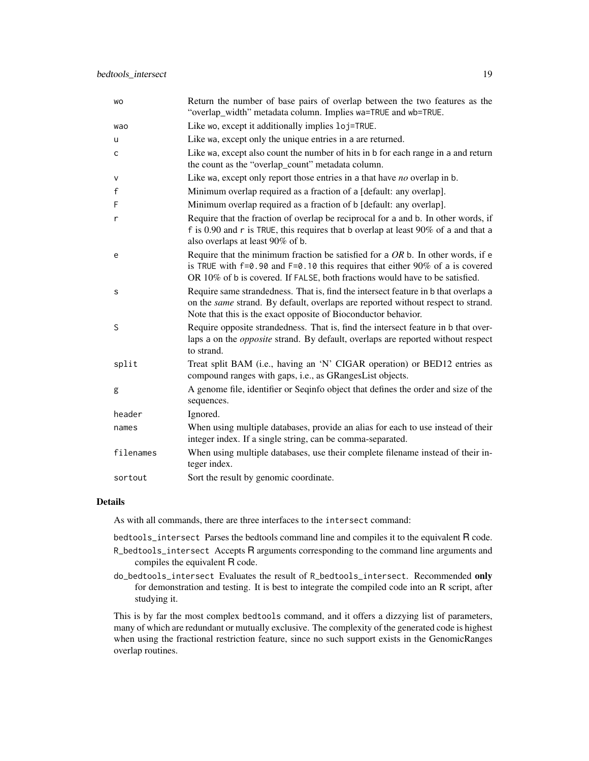| WO          | Return the number of base pairs of overlap between the two features as the<br>"overlap_width" metadata column. Implies wa=TRUE and wb=TRUE.                                                                                                           |
|-------------|-------------------------------------------------------------------------------------------------------------------------------------------------------------------------------------------------------------------------------------------------------|
| wao         | Like wo, except it additionally implies loj=TRUE.                                                                                                                                                                                                     |
| u           | Like wa, except only the unique entries in a are returned.                                                                                                                                                                                            |
| c           | Like wa, except also count the number of hits in b for each range in a and return<br>the count as the "overlap_count" metadata column.                                                                                                                |
| v           | Like wa, except only report those entries in a that have no overlap in b.                                                                                                                                                                             |
| $\mathsf f$ | Minimum overlap required as a fraction of a [default: any overlap].                                                                                                                                                                                   |
| F           | Minimum overlap required as a fraction of b [default: any overlap].                                                                                                                                                                                   |
| r           | Require that the fraction of overlap be reciprocal for a and b. In other words, if<br>f is 0.90 and r is TRUE, this requires that b overlap at least $90\%$ of a and that a<br>also overlaps at least 90% of b.                                       |
| e           | Require that the minimum fraction be satisfied for a $OR$ b. In other words, if e<br>is TRUE with $f=0.90$ and $F=0.10$ this requires that either 90% of a is covered<br>OR 10% of b is covered. If FALSE, both fractions would have to be satisfied. |
| s           | Require same strandedness. That is, find the intersect feature in b that overlaps a<br>on the same strand. By default, overlaps are reported without respect to strand.<br>Note that this is the exact opposite of Bioconductor behavior.             |
| S           | Require opposite strandedness. That is, find the intersect feature in b that over-<br>laps a on the <i>opposite</i> strand. By default, overlaps are reported without respect<br>to strand.                                                           |
| split       | Treat split BAM (i.e., having an 'N' CIGAR operation) or BED12 entries as<br>compound ranges with gaps, i.e., as GRangesList objects.                                                                                                                 |
| g           | A genome file, identifier or Seqinfo object that defines the order and size of the<br>sequences.                                                                                                                                                      |
| header      | Ignored.                                                                                                                                                                                                                                              |
| names       | When using multiple databases, provide an alias for each to use instead of their<br>integer index. If a single string, can be comma-separated.                                                                                                        |
| filenames   | When using multiple databases, use their complete filename instead of their in-<br>teger index.                                                                                                                                                       |
| sortout     | Sort the result by genomic coordinate.                                                                                                                                                                                                                |

#### Details

As with all commands, there are three interfaces to the intersect command:

bedtools\_intersect Parses the bedtools command line and compiles it to the equivalent R code.

- R\_bedtools\_intersect Accepts R arguments corresponding to the command line arguments and compiles the equivalent R code.
- do\_bedtools\_intersect Evaluates the result of R\_bedtools\_intersect. Recommended only for demonstration and testing. It is best to integrate the compiled code into an R script, after studying it.

This is by far the most complex bedtools command, and it offers a dizzying list of parameters, many of which are redundant or mutually exclusive. The complexity of the generated code is highest when using the fractional restriction feature, since no such support exists in the GenomicRanges overlap routines.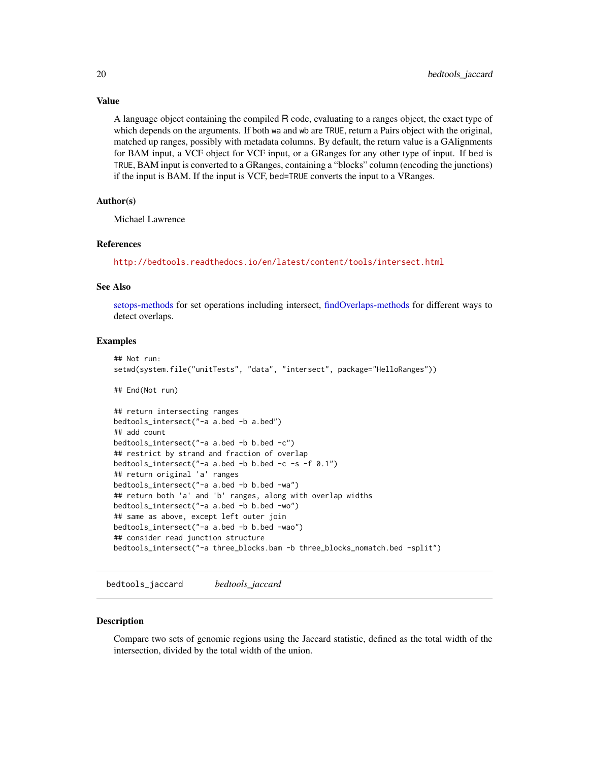Value

A language object containing the compiled R code, evaluating to a ranges object, the exact type of which depends on the arguments. If both wa and wb are TRUE, return a Pairs object with the original, matched up ranges, possibly with metadata columns. By default, the return value is a GAlignments for BAM input, a VCF object for VCF input, or a GRanges for any other type of input. If bed is TRUE, BAM input is converted to a GRanges, containing a "blocks" column (encoding the junctions) if the input is BAM. If the input is VCF, bed=TRUE converts the input to a VRanges.

#### Author(s)

Michael Lawrence

#### References

<http://bedtools.readthedocs.io/en/latest/content/tools/intersect.html>

#### See Also

[setops-methods](#page-0-0) for set operations including intersect, [findOverlaps-methods](#page-0-0) for different ways to detect overlaps.

#### Examples

```
## Not run:
setwd(system.file("unitTests", "data", "intersect", package="HelloRanges"))
## End(Not run)
## return intersecting ranges
bedtools_intersect("-a a.bed -b a.bed")
## add count
bedtools_intersect("-a a.bed -b b.bed -c")
## restrict by strand and fraction of overlap
bedtools_intersect("-a a.bed -b b.bed -c -s -f 0.1")
## return original 'a' ranges
bedtools_intersect("-a a.bed -b b.bed -wa")
## return both 'a' and 'b' ranges, along with overlap widths
bedtools_intersect("-a a.bed -b b.bed -wo")
## same as above, except left outer join
bedtools_intersect("-a a.bed -b b.bed -wao")
## consider read junction structure
bedtools_intersect("-a three_blocks.bam -b three_blocks_nomatch.bed -split")
```
bedtools\_jaccard *bedtools\_jaccard*

#### **Description**

Compare two sets of genomic regions using the Jaccard statistic, defined as the total width of the intersection, divided by the total width of the union.

<span id="page-19-0"></span>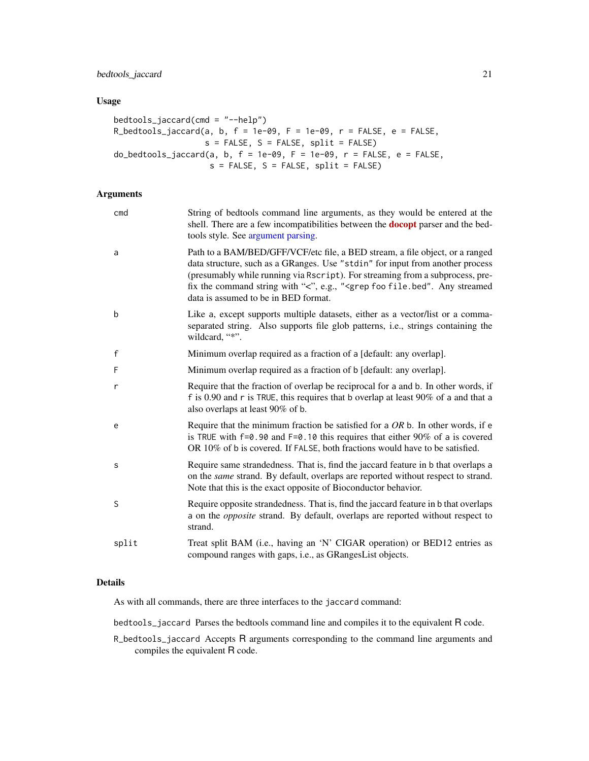### <span id="page-20-0"></span>bedtools\_jaccard 21

### Usage

```
bedtools_jaccard(cmd = "--help")
R_bedtools_jaccard(a, b, f = 1e-09, F = 1e-09, r = FALSE, e = FALSE,
                  s = FALSE, S = FALSE, split = FALSE)
do_bedtools_jaccard(a, b, f = 1e-09, F = 1e-09, r = FALSE, e = FALSE,
                   s = FALSE, S = FALSE, split = FALSE)
```
### Arguments

| cmd         | String of bedtools command line arguments, as they would be entered at the<br>shell. There are a few incompatibilities between the <b>docopt</b> parser and the bed-<br>tools style. See argument parsing.                                                                                                                                                                              |
|-------------|-----------------------------------------------------------------------------------------------------------------------------------------------------------------------------------------------------------------------------------------------------------------------------------------------------------------------------------------------------------------------------------------|
| a           | Path to a BAM/BED/GFF/VCF/etc file, a BED stream, a file object, or a ranged<br>data structure, such as a GRanges. Use "stdin" for input from another process<br>(presumably while running via Rscript). For streaming from a subprocess, pre-<br>fix the command string with "<", e.g., " <grep any="" file.bed".="" foo="" streamed<br="">data is assumed to be in BED format.</grep> |
| b           | Like a, except supports multiple datasets, either as a vector/list or a comma-<br>separated string. Also supports file glob patterns, i.e., strings containing the<br>wildcard, "*".                                                                                                                                                                                                    |
| $\mathsf f$ | Minimum overlap required as a fraction of a [default: any overlap].                                                                                                                                                                                                                                                                                                                     |
| F           | Minimum overlap required as a fraction of b [default: any overlap].                                                                                                                                                                                                                                                                                                                     |
| r           | Require that the fraction of overlap be reciprocal for a and b. In other words, if<br>f is 0.90 and r is TRUE, this requires that b overlap at least $90\%$ of a and that a<br>also overlaps at least 90% of b.                                                                                                                                                                         |
| e           | Require that the minimum fraction be satisfied for a $OR$ b. In other words, if e<br>is TRUE with $f=0.90$ and $F=0.10$ this requires that either 90% of a is covered<br>OR 10% of b is covered. If FALSE, both fractions would have to be satisfied.                                                                                                                                   |
| S           | Require same strandedness. That is, find the jaccard feature in b that overlaps a<br>on the same strand. By default, overlaps are reported without respect to strand.<br>Note that this is the exact opposite of Bioconductor behavior.                                                                                                                                                 |
| S           | Require opposite strandedness. That is, find the jaccard feature in b that overlaps<br>a on the <i>opposite</i> strand. By default, overlaps are reported without respect to<br>strand.                                                                                                                                                                                                 |
| split       | Treat split BAM (i.e., having an 'N' CIGAR operation) or BED12 entries as<br>compound ranges with gaps, i.e., as GRangesList objects.                                                                                                                                                                                                                                                   |

#### Details

As with all commands, there are three interfaces to the jaccard command:

bedtools\_jaccard Parses the bedtools command line and compiles it to the equivalent R code.

R\_bedtools\_jaccard Accepts R arguments corresponding to the command line arguments and compiles the equivalent R code.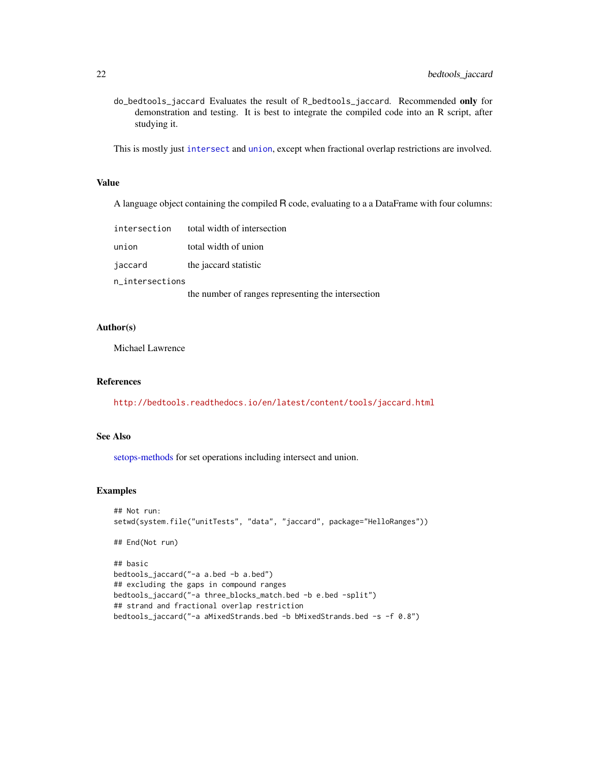<span id="page-21-0"></span>do\_bedtools\_jaccard Evaluates the result of R\_bedtools\_jaccard. Recommended only for demonstration and testing. It is best to integrate the compiled code into an R script, after studying it.

This is mostly just [intersect](#page-0-0) and [union](#page-0-0), except when fractional overlap restrictions are involved.

#### Value

A language object containing the compiled R code, evaluating to a a DataFrame with four columns:

| intersection    | total width of intersection |  |
|-----------------|-----------------------------|--|
| union           | total width of union        |  |
| jaccard         | the jaccard statistic       |  |
| n_intersections |                             |  |

the number of ranges representing the intersection

### Author(s)

Michael Lawrence

#### References

<http://bedtools.readthedocs.io/en/latest/content/tools/jaccard.html>

#### See Also

[setops-methods](#page-0-0) for set operations including intersect and union.

### Examples

```
## Not run:
setwd(system.file("unitTests", "data", "jaccard", package="HelloRanges"))
## End(Not run)
## basic
bedtools_jaccard("-a a.bed -b a.bed")
## excluding the gaps in compound ranges
bedtools_jaccard("-a three_blocks_match.bed -b e.bed -split")
## strand and fractional overlap restriction
bedtools_jaccard("-a aMixedStrands.bed -b bMixedStrands.bed -s -f 0.8")
```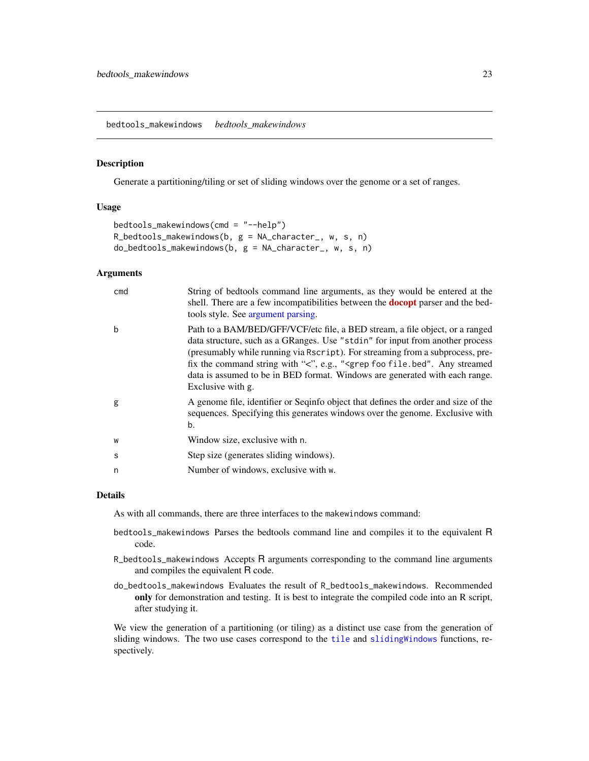<span id="page-22-0"></span>bedtools\_makewindows *bedtools\_makewindows*

### Description

Generate a partitioning/tiling or set of sliding windows over the genome or a set of ranges.

#### Usage

```
bedtools_makewindows(cmd = "--help")
R_bedtools_makewindows(b, g = NA_character_, w, s, n)
do_bedtools_makewindows(b, g = NA_character_, w, s, n)
```
### Arguments

| cmd | String of bedtools command line arguments, as they would be entered at the<br>shell. There are a few incompatibilities between the <b>docopt</b> parser and the bed-<br>tools style. See argument parsing.                                                                                                                                                                                                                                           |
|-----|------------------------------------------------------------------------------------------------------------------------------------------------------------------------------------------------------------------------------------------------------------------------------------------------------------------------------------------------------------------------------------------------------------------------------------------------------|
| b   | Path to a BAM/BED/GFF/VCF/etc file, a BED stream, a file object, or a ranged<br>data structure, such as a GRanges. Use "stdin" for input from another process<br>(presumably while running via Rscript). For streaming from a subprocess, pre-<br>fix the command string with "<", e.g., " <grep any="" file.bed".="" foo="" streamed<br="">data is assumed to be in BED format. Windows are generated with each range.<br/>Exclusive with g.</grep> |
| g   | A genome file, identifier or Seqinfo object that defines the order and size of the<br>sequences. Specifying this generates windows over the genome. Exclusive with<br>b.                                                                                                                                                                                                                                                                             |
| W   | Window size, exclusive with n.                                                                                                                                                                                                                                                                                                                                                                                                                       |
| S   | Step size (generates sliding windows).                                                                                                                                                                                                                                                                                                                                                                                                               |
| n   | Number of windows, exclusive with w.                                                                                                                                                                                                                                                                                                                                                                                                                 |

### Details

As with all commands, there are three interfaces to the makewindows command:

- bedtools\_makewindows Parses the bedtools command line and compiles it to the equivalent R code.
- R\_bedtools\_makewindows Accepts R arguments corresponding to the command line arguments and compiles the equivalent R code.
- do\_bedtools\_makewindows Evaluates the result of R\_bedtools\_makewindows. Recommended only for demonstration and testing. It is best to integrate the compiled code into an R script, after studying it.

We view the generation of a partitioning (or tiling) as a distinct use case from the generation of sliding windows. The two use cases correspond to the [tile](#page-0-0) and [slidingWindows](#page-0-0) functions, respectively.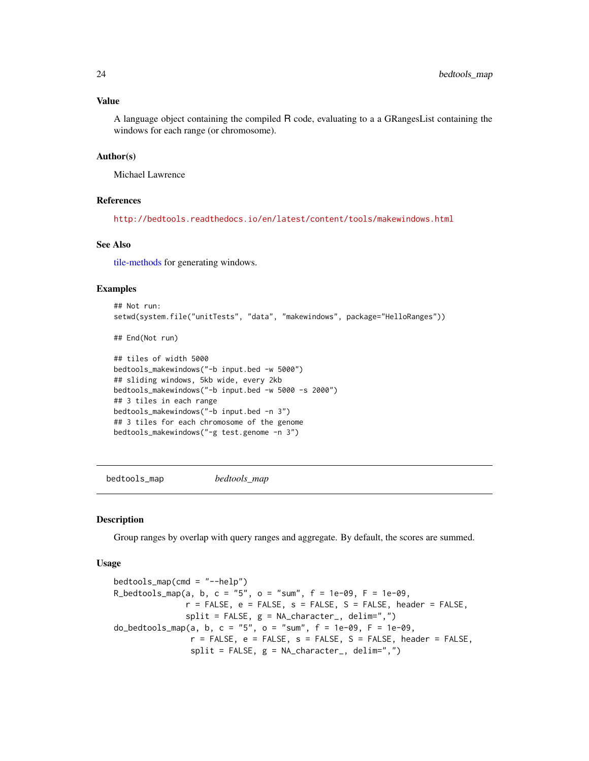### <span id="page-23-0"></span>Value

A language object containing the compiled R code, evaluating to a a GRangesList containing the windows for each range (or chromosome).

#### Author(s)

Michael Lawrence

### References

<http://bedtools.readthedocs.io/en/latest/content/tools/makewindows.html>

#### See Also

[tile-methods](#page-0-0) for generating windows.

#### Examples

```
## Not run:
setwd(system.file("unitTests", "data", "makewindows", package="HelloRanges"))
## End(Not run)
## tiles of width 5000
bedtools_makewindows("-b input.bed -w 5000")
## sliding windows, 5kb wide, every 2kb
bedtools_makewindows("-b input.bed -w 5000 -s 2000")
## 3 tiles in each range
bedtools_makewindows("-b input.bed -n 3")
## 3 tiles for each chromosome of the genome
bedtools_makewindows("-g test.genome -n 3")
```
<span id="page-23-1"></span>bedtools\_map *bedtools\_map*

#### **Description**

Group ranges by overlap with query ranges and aggregate. By default, the scores are summed.

#### Usage

 $bedtools_map(cmd = "--help")$ R\_bedtools\_map(a, b, c = "5", o = "sum",  $f = 1e-09$ ,  $F = 1e-09$ ,  $r =$  FALSE,  $e =$  FALSE,  $s =$  FALSE,  $S =$  FALSE, header = FALSE,  $split = FALSE, g = NA_{character_1}$ , delim=",") do\_bedtools\_map(a, b, c = "5", o = "sum", f = 1e-09, F = 1e-09,  $r =$  FALSE,  $e =$  FALSE,  $s =$  FALSE,  $S =$  FALSE, header = FALSE, split = FALSE, g = NA\_character\_, delim=",")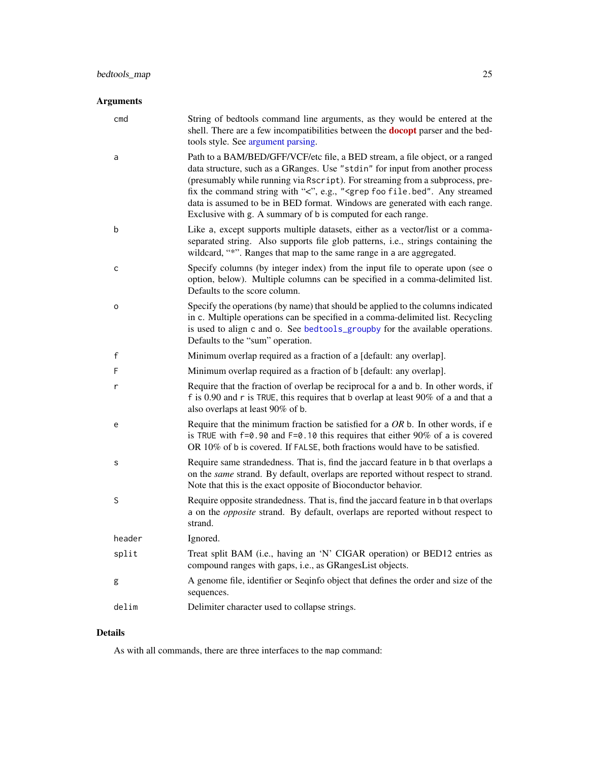### <span id="page-24-0"></span>Arguments

| cmd          | String of bedtools command line arguments, as they would be entered at the<br>shell. There are a few incompatibilities between the <b>docopt</b> parser and the bed-<br>tools style. See argument parsing.                                                                                                                                                                                                                                                                                      |
|--------------|-------------------------------------------------------------------------------------------------------------------------------------------------------------------------------------------------------------------------------------------------------------------------------------------------------------------------------------------------------------------------------------------------------------------------------------------------------------------------------------------------|
| a            | Path to a BAM/BED/GFF/VCF/etc file, a BED stream, a file object, or a ranged<br>data structure, such as a GRanges. Use "stdin" for input from another process<br>(presumably while running via Rscript). For streaming from a subprocess, pre-<br>fix the command string with "<", e.g., " <grep any="" file.bed".="" foo="" streamed<br="">data is assumed to be in BED format. Windows are generated with each range.<br/>Exclusive with g. A summary of b is computed for each range.</grep> |
| b            | Like a, except supports multiple datasets, either as a vector/list or a comma-<br>separated string. Also supports file glob patterns, i.e., strings containing the<br>wildcard, "*". Ranges that map to the same range in a are aggregated.                                                                                                                                                                                                                                                     |
| c            | Specify columns (by integer index) from the input file to operate upon (see o<br>option, below). Multiple columns can be specified in a comma-delimited list.<br>Defaults to the score column.                                                                                                                                                                                                                                                                                                  |
| o            | Specify the operations (by name) that should be applied to the columns indicated<br>in c. Multiple operations can be specified in a comma-delimited list. Recycling<br>is used to align c and o. See bedtools_groupby for the available operations.<br>Defaults to the "sum" operation.                                                                                                                                                                                                         |
| $\mathsf{f}$ | Minimum overlap required as a fraction of a [default: any overlap].                                                                                                                                                                                                                                                                                                                                                                                                                             |
| F            | Minimum overlap required as a fraction of b [default: any overlap].                                                                                                                                                                                                                                                                                                                                                                                                                             |
| r            | Require that the fraction of overlap be reciprocal for a and b. In other words, if<br>f is 0.90 and r is TRUE, this requires that b overlap at least $90\%$ of a and that a<br>also overlaps at least 90% of b.                                                                                                                                                                                                                                                                                 |
| e            | Require that the minimum fraction be satisfied for a $OR b$ . In other words, if e<br>is TRUE with $f=0.90$ and $F=0.10$ this requires that either 90% of a is covered<br>OR 10% of b is covered. If FALSE, both fractions would have to be satisfied.                                                                                                                                                                                                                                          |
| s            | Require same strandedness. That is, find the jaccard feature in b that overlaps a<br>on the same strand. By default, overlaps are reported without respect to strand.<br>Note that this is the exact opposite of Bioconductor behavior.                                                                                                                                                                                                                                                         |
| S            | Require opposite strandedness. That is, find the jaccard feature in b that overlaps<br>a on the <i>opposite</i> strand. By default, overlaps are reported without respect to<br>strand.                                                                                                                                                                                                                                                                                                         |
| header       | Ignored.                                                                                                                                                                                                                                                                                                                                                                                                                                                                                        |
| split        | Treat split BAM (i.e., having an 'N' CIGAR operation) or BED12 entries as<br>compound ranges with gaps, i.e., as GRangesList objects.                                                                                                                                                                                                                                                                                                                                                           |
| g            | A genome file, identifier or Seqinfo object that defines the order and size of the<br>sequences.                                                                                                                                                                                                                                                                                                                                                                                                |
| delim        | Delimiter character used to collapse strings.                                                                                                                                                                                                                                                                                                                                                                                                                                                   |

### Details

As with all commands, there are three interfaces to the map command: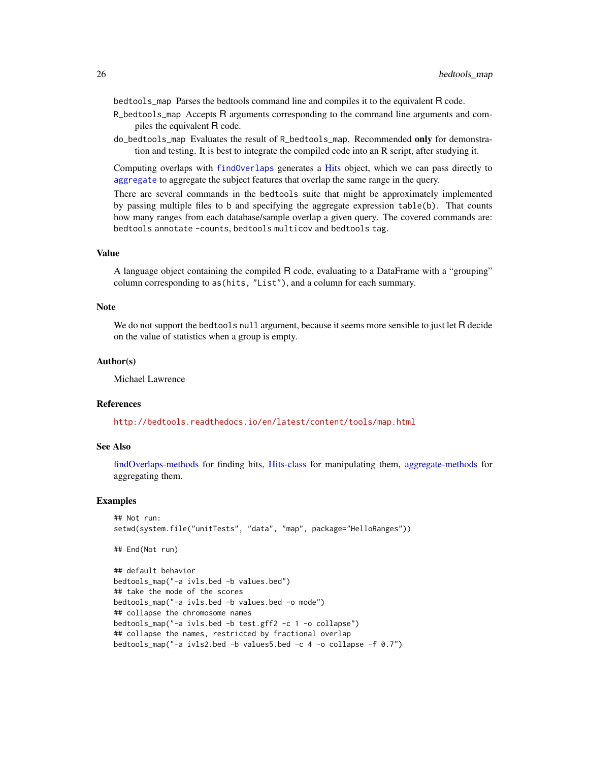<span id="page-25-0"></span>bedtools\_map Parses the bedtools command line and compiles it to the equivalent R code.

- R\_bedtools\_map Accepts R arguments corresponding to the command line arguments and compiles the equivalent R code.
- do\_bedtools\_map Evaluates the result of R\_bedtools\_map. Recommended only for demonstration and testing. It is best to integrate the compiled code into an R script, after studying it.

Computing overlaps with [findOverlaps](#page-0-0) generates a [Hits](#page-0-0) object, which we can pass directly to [aggregate](#page-0-0) to aggregate the subject features that overlap the same range in the query.

There are several commands in the bedtools suite that might be approximately implemented by passing multiple files to b and specifying the aggregate expression table(b). That counts how many ranges from each database/sample overlap a given query. The covered commands are: bedtools annotate -counts, bedtools multicov and bedtools tag.

#### Value

A language object containing the compiled R code, evaluating to a DataFrame with a "grouping" column corresponding to as(hits, "List"), and a column for each summary.

#### **Note**

We do not support the bedtools null argument, because it seems more sensible to just let R decide on the value of statistics when a group is empty.

#### Author(s)

Michael Lawrence

#### References

<http://bedtools.readthedocs.io/en/latest/content/tools/map.html>

#### See Also

[findOverlaps-methods](#page-0-0) for finding hits, [Hits-class](#page-0-0) for manipulating them, [aggregate-methods](#page-0-0) for aggregating them.

#### Examples

```
## Not run:
setwd(system.file("unitTests", "data", "map", package="HelloRanges"))
```

```
## End(Not run)
```

```
## default behavior
bedtools_map("-a ivls.bed -b values.bed")
## take the mode of the scores
bedtools_map("-a ivls.bed -b values.bed -o mode")
## collapse the chromosome names
bedtools_map("-a ivls.bed -b test.gff2 -c 1 -o collapse")
## collapse the names, restricted by fractional overlap
bedtools_map("-a ivls2.bed -b values5.bed -c 4 -o collapse -f 0.7")
```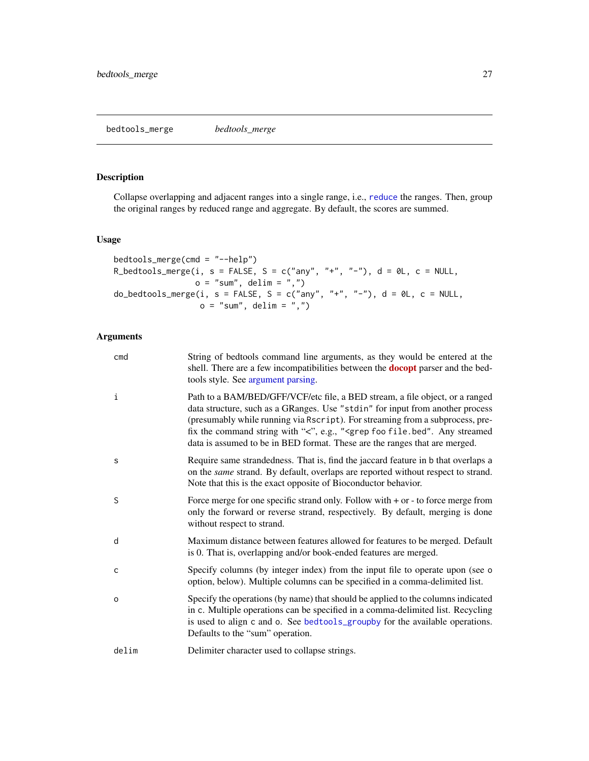#### <span id="page-26-0"></span>bedtools\_merge *bedtools\_merge*

### Description

Collapse overlapping and adjacent ranges into a single range, i.e., [reduce](#page-0-0) the ranges. Then, group the original ranges by reduced range and aggregate. By default, the scores are summed.

### Usage

```
bedtools_merge(cmd = "--help")
R_bedtools_merge(i, s = FALSE, S = c("any", "+", "-"), d = 0L, c = NULL,
                 o = "sum", delim = ",")do_bedtools_merge(i, s = FALSE, S = c("any", "+", "-"), d = 0L, c = NULL,
                  o = "sum", delim = ",")
```
#### Arguments

| cmd          | String of bedtools command line arguments, as they would be entered at the<br>shell. There are a few incompatibilities between the <b>docopt</b> parser and the bed-<br>tools style. See argument parsing.                                                                                                                                                                                                                    |
|--------------|-------------------------------------------------------------------------------------------------------------------------------------------------------------------------------------------------------------------------------------------------------------------------------------------------------------------------------------------------------------------------------------------------------------------------------|
| i            | Path to a BAM/BED/GFF/VCF/etc file, a BED stream, a file object, or a ranged<br>data structure, such as a GRanges. Use "stdin" for input from another process<br>(presumably while running via Rscript). For streaming from a subprocess, pre-<br>fix the command string with "<", e.g., " <grep any="" file.bed".="" foo="" streamed<br="">data is assumed to be in BED format. These are the ranges that are merged.</grep> |
| S            | Require same strandedness. That is, find the jaccard feature in b that overlaps a<br>on the same strand. By default, overlaps are reported without respect to strand.<br>Note that this is the exact opposite of Bioconductor behavior.                                                                                                                                                                                       |
| S            | Force merge for one specific strand only. Follow with $+$ or $-$ to force merge from<br>only the forward or reverse strand, respectively. By default, merging is done<br>without respect to strand.                                                                                                                                                                                                                           |
| d            | Maximum distance between features allowed for features to be merged. Default<br>is 0. That is, overlapping and/or book-ended features are merged.                                                                                                                                                                                                                                                                             |
| $\mathsf{C}$ | Specify columns (by integer index) from the input file to operate upon (see o<br>option, below). Multiple columns can be specified in a comma-delimited list.                                                                                                                                                                                                                                                                 |
| $\circ$      | Specify the operations (by name) that should be applied to the columns indicated<br>in c. Multiple operations can be specified in a comma-delimited list. Recycling<br>is used to align c and o. See bedtools_groupby for the available operations.<br>Defaults to the "sum" operation.                                                                                                                                       |
| delim        | Delimiter character used to collapse strings.                                                                                                                                                                                                                                                                                                                                                                                 |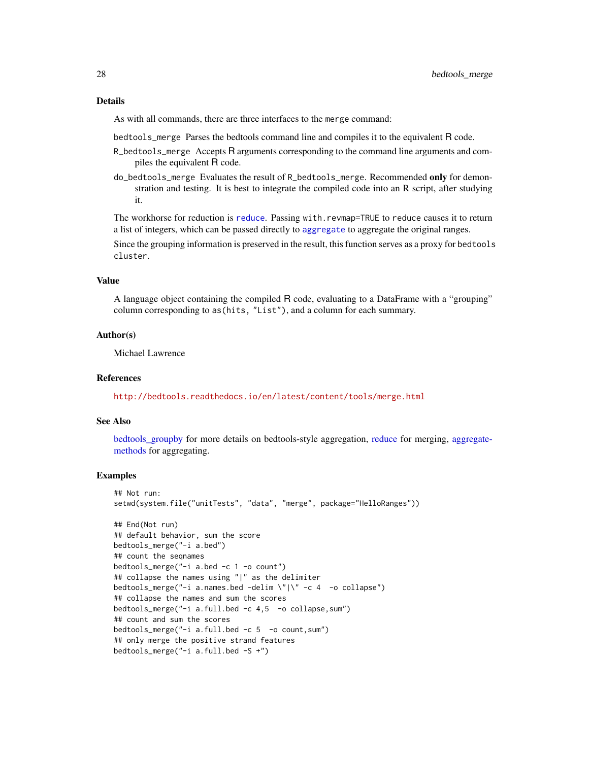#### <span id="page-27-0"></span>Details

As with all commands, there are three interfaces to the merge command:

bedtools\_merge Parses the bedtools command line and compiles it to the equivalent R code.

- R\_bedtools\_merge Accepts R arguments corresponding to the command line arguments and compiles the equivalent R code.
- do\_bedtools\_merge Evaluates the result of R\_bedtools\_merge. Recommended only for demonstration and testing. It is best to integrate the compiled code into an R script, after studying it.

The workhorse for reduction is [reduce](#page-0-0). Passing with.revmap=TRUE to reduce causes it to return a list of integers, which can be passed directly to [aggregate](#page-0-0) to aggregate the original ranges.

Since the grouping information is preserved in the result, this function serves as a proxy for bedtools cluster.

#### Value

A language object containing the compiled R code, evaluating to a DataFrame with a "grouping" column corresponding to as(hits, "List"), and a column for each summary.

#### Author(s)

Michael Lawrence

#### References

<http://bedtools.readthedocs.io/en/latest/content/tools/merge.html>

#### See Also

[bedtools\\_groupby](#page-14-1) for more details on bedtools-style aggregation, [reduce](#page-0-0) for merging, [aggregate](#page-0-0)[methods](#page-0-0) for aggregating.

#### Examples

```
## Not run:
setwd(system.file("unitTests", "data", "merge", package="HelloRanges"))
## End(Not run)
## default behavior, sum the score
bedtools_merge("-i a.bed")
## count the seqnames
bedtools_merge("-i a.bed -c 1 -o count")
## collapse the names using "|" as the delimiter
bedtools_merge("-i a.names.bed -delim \"|\" -c 4 -o collapse")
## collapse the names and sum the scores
bedtools_merge("-i a.full.bed -c 4,5 -o collapse,sum")
## count and sum the scores
bedtools_merge("-i a.full.bed -c 5 -o count,sum")
## only merge the positive strand features
bedtools_merge("-i a.full.bed -S +")
```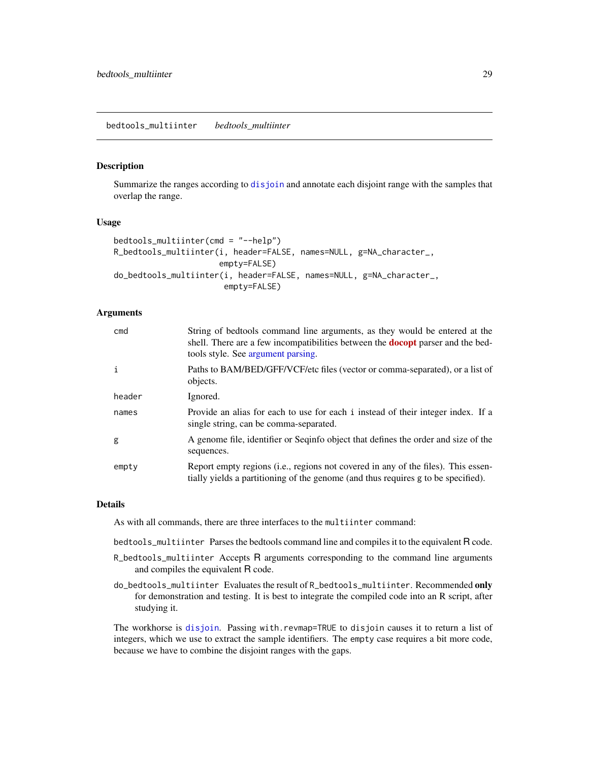#### <span id="page-28-1"></span><span id="page-28-0"></span>Description

Summarize the ranges according to [disjoin](#page-0-0) and annotate each disjoint range with the samples that overlap the range.

#### Usage

```
bedtools_multiinter(cmd = "--help")
R_bedtools_multiinter(i, header=FALSE, names=NULL, g=NA_character_,
                      empty=FALSE)
do_bedtools_multiinter(i, header=FALSE, names=NULL, g=NA_character_,
                       empty=FALSE)
```
### Arguments

| cmd    | String of bedtools command line arguments, as they would be entered at the<br>shell. There are a few incompatibilities between the <b>docopt</b> parser and the bed-<br>tools style. See argument parsing. |
|--------|------------------------------------------------------------------------------------------------------------------------------------------------------------------------------------------------------------|
| i      | Paths to BAM/BED/GFF/VCF/etc files (vector or comma-separated), or a list of<br>objects.                                                                                                                   |
| header | Ignored.                                                                                                                                                                                                   |
| names  | Provide an alias for each to use for each i instead of their integer index. If a<br>single string, can be comma-separated.                                                                                 |
| g      | A genome file, identifier or Seqinfo object that defines the order and size of the<br>sequences.                                                                                                           |
| empty  | Report empty regions (i.e., regions not covered in any of the files). This essen-<br>tially yields a partitioning of the genome (and thus requires g to be specified).                                     |

#### Details

As with all commands, there are three interfaces to the multiinter command:

bedtools\_multiinter Parses the bedtools command line and compiles it to the equivalent R code.

- R\_bedtools\_multiinter Accepts R arguments corresponding to the command line arguments and compiles the equivalent R code.
- do\_bedtools\_multiinter Evaluates the result of R\_bedtools\_multiinter. Recommended only for demonstration and testing. It is best to integrate the compiled code into an R script, after studying it.

The workhorse is [disjoin](#page-0-0). Passing with.revmap=TRUE to disjoin causes it to return a list of integers, which we use to extract the sample identifiers. The empty case requires a bit more code, because we have to combine the disjoint ranges with the gaps.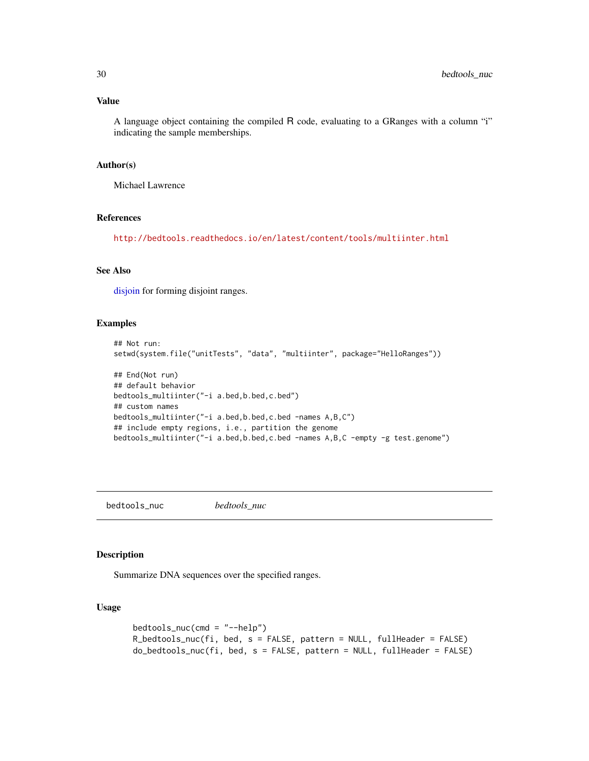### <span id="page-29-0"></span>Value

A language object containing the compiled R code, evaluating to a GRanges with a column "i" indicating the sample memberships.

### Author(s)

Michael Lawrence

#### References

<http://bedtools.readthedocs.io/en/latest/content/tools/multiinter.html>

### See Also

[disjoin](#page-0-0) for forming disjoint ranges.

### Examples

```
## Not run:
setwd(system.file("unitTests", "data", "multiinter", package="HelloRanges"))
## End(Not run)
## default behavior
bedtools_multiinter("-i a.bed,b.bed,c.bed")
## custom names
bedtools_multiinter("-i a.bed,b.bed,c.bed -names A,B,C")
## include empty regions, i.e., partition the genome
bedtools_multiinter("-i a.bed,b.bed,c.bed -names A,B,C -empty -g test.genome")
```
bedtools\_nuc *bedtools\_nuc*

### Description

Summarize DNA sequences over the specified ranges.

### Usage

```
bedtools_nuc(cmd = "--help")
R_bedtools_nuc(fi, bed, s = FALSE, pattern = NULL, fullHeader = FALSE)
do_bedtools_nuc(fi, bed, s = FALSE, pattern = NULL, fullHeader = FALSE)
```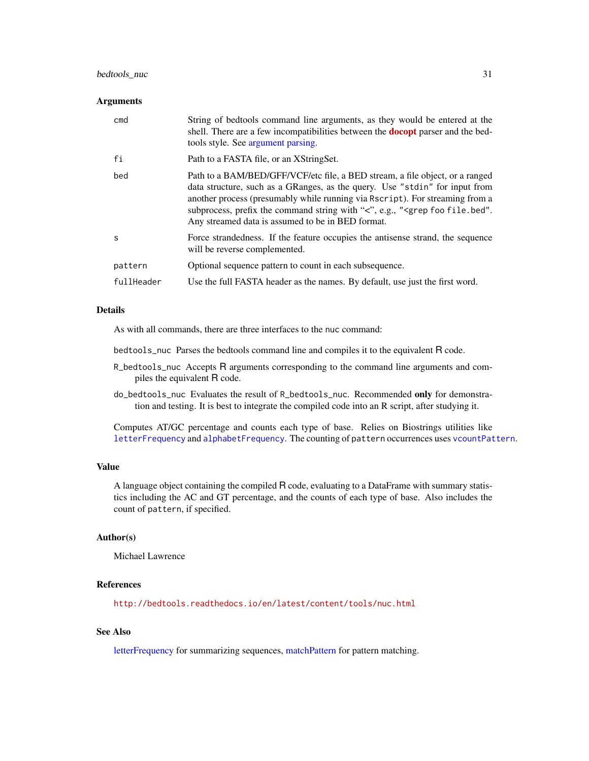### <span id="page-30-0"></span>bedtools\_nuc 31

#### **Arguments**

| cmd        | String of bedtools command line arguments, as they would be entered at the<br>shell. There are a few incompatibilities between the <b>docopt</b> parser and the bed-<br>tools style. See argument parsing.                                                                                                                                                                                    |
|------------|-----------------------------------------------------------------------------------------------------------------------------------------------------------------------------------------------------------------------------------------------------------------------------------------------------------------------------------------------------------------------------------------------|
| fi         | Path to a FASTA file, or an XStringSet.                                                                                                                                                                                                                                                                                                                                                       |
| bed        | Path to a BAM/BED/GFF/VCF/etc file, a BED stream, a file object, or a ranged<br>data structure, such as a GRanges, as the query. Use "stdin" for input from<br>another process (presumably while running via Rscript). For streaming from a<br>subprocess, prefix the command string with "<", e.g., " <grep file.bed".<br="" foo="">Any streamed data is assumed to be in BED format.</grep> |
| S          | Force strandedness. If the feature occupies the antisense strand, the sequence<br>will be reverse complemented.                                                                                                                                                                                                                                                                               |
| pattern    | Optional sequence pattern to count in each subsequence.                                                                                                                                                                                                                                                                                                                                       |
| fullHeader | Use the full FASTA header as the names. By default, use just the first word.                                                                                                                                                                                                                                                                                                                  |
|            |                                                                                                                                                                                                                                                                                                                                                                                               |

### Details

As with all commands, there are three interfaces to the nuc command:

bedtools\_nuc Parses the bedtools command line and compiles it to the equivalent R code.

- R\_bedtools\_nuc Accepts R arguments corresponding to the command line arguments and compiles the equivalent R code.
- do\_bedtools\_nuc Evaluates the result of R\_bedtools\_nuc. Recommended only for demonstration and testing. It is best to integrate the compiled code into an R script, after studying it.

Computes AT/GC percentage and counts each type of base. Relies on Biostrings utilities like [letterFrequency](#page-0-0) and [alphabetFrequency](#page-0-0). The counting of pattern occurrences uses [vcountPattern](#page-0-0).

#### Value

A language object containing the compiled R code, evaluating to a DataFrame with summary statistics including the AC and GT percentage, and the counts of each type of base. Also includes the count of pattern, if specified.

#### Author(s)

Michael Lawrence

#### References

<http://bedtools.readthedocs.io/en/latest/content/tools/nuc.html>

### See Also

[letterFrequency](#page-0-0) for summarizing sequences, [matchPattern](#page-0-0) for pattern matching.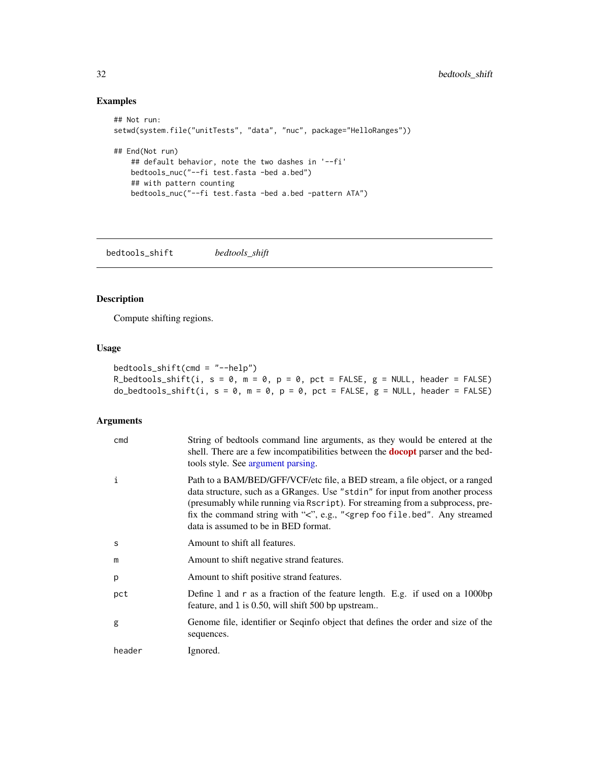### Examples

```
## Not run:
setwd(system.file("unitTests", "data", "nuc", package="HelloRanges"))
## End(Not run)
   ## default behavior, note the two dashes in '--fi'
   bedtools_nuc("--fi test.fasta -bed a.bed")
   ## with pattern counting
   bedtools_nuc("--fi test.fasta -bed a.bed -pattern ATA")
```
bedtools\_shift *bedtools\_shift*

### Description

Compute shifting regions.

### Usage

| bedtools_shift(cmd = "--help")                                                      |  |
|-------------------------------------------------------------------------------------|--|
| R_bedtools_shift(i, s = 0, m = 0, p = 0, pct = FALSE, g = NULL, header = FALSE)     |  |
| $do_bedtools_sshift(i, s = 0, m = 0, p = 0, pct = FALSE, g = NULL, header = FALSE)$ |  |

### Arguments

| cmd    | String of bedtools command line arguments, as they would be entered at the<br>shell. There are a few incompatibilities between the <b>docopt</b> parser and the bed-<br>tools style. See argument parsing.                                                                                                                                                                              |
|--------|-----------------------------------------------------------------------------------------------------------------------------------------------------------------------------------------------------------------------------------------------------------------------------------------------------------------------------------------------------------------------------------------|
| i      | Path to a BAM/BED/GFF/VCF/etc file, a BED stream, a file object, or a ranged<br>data structure, such as a GRanges. Use "stdin" for input from another process<br>(presumably while running via Rscript). For streaming from a subprocess, pre-<br>fix the command string with "<", e.g., " <grep any="" file.bed".="" foo="" streamed<br="">data is assumed to be in BED format.</grep> |
| S      | Amount to shift all features.                                                                                                                                                                                                                                                                                                                                                           |
| m      | Amount to shift negative strand features.                                                                                                                                                                                                                                                                                                                                               |
| p      | Amount to shift positive strand features.                                                                                                                                                                                                                                                                                                                                               |
| pct    | Define 1 and r as a fraction of the feature length. E.g. if used on a 1000bp<br>feature, and 1 is 0.50, will shift 500 bp upstream                                                                                                                                                                                                                                                      |
| g      | Genome file, identifier or Seqinfo object that defines the order and size of the<br>sequences.                                                                                                                                                                                                                                                                                          |
| header | Ignored.                                                                                                                                                                                                                                                                                                                                                                                |

<span id="page-31-0"></span>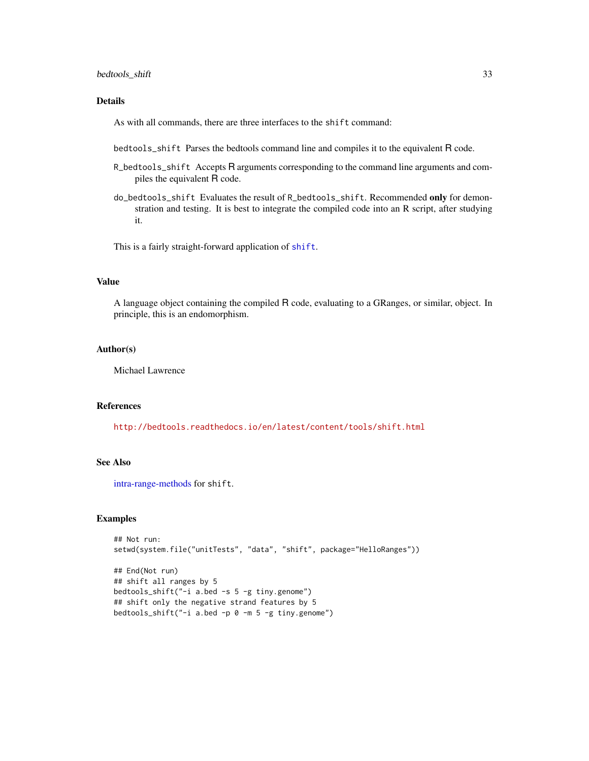### <span id="page-32-0"></span>bedtools\_shift 33

### Details

As with all commands, there are three interfaces to the shift command:

bedtools\_shift Parses the bedtools command line and compiles it to the equivalent R code.

- R\_bedtools\_shift Accepts R arguments corresponding to the command line arguments and compiles the equivalent R code.
- do\_bedtools\_shift Evaluates the result of R\_bedtools\_shift. Recommended only for demonstration and testing. It is best to integrate the compiled code into an R script, after studying it.

This is a fairly straight-forward application of [shift](#page-0-0).

#### Value

A language object containing the compiled R code, evaluating to a GRanges, or similar, object. In principle, this is an endomorphism.

#### Author(s)

Michael Lawrence

#### References

<http://bedtools.readthedocs.io/en/latest/content/tools/shift.html>

#### See Also

[intra-range-methods](#page-0-0) for shift.

#### Examples

```
## Not run:
setwd(system.file("unitTests", "data", "shift", package="HelloRanges"))
## End(Not run)
## shift all ranges by 5
bedtools_shift("-i a.bed -s 5 -g tiny.genome")
## shift only the negative strand features by 5
bedtools_shift("-i a.bed -p 0 -m 5 -g tiny.genome")
```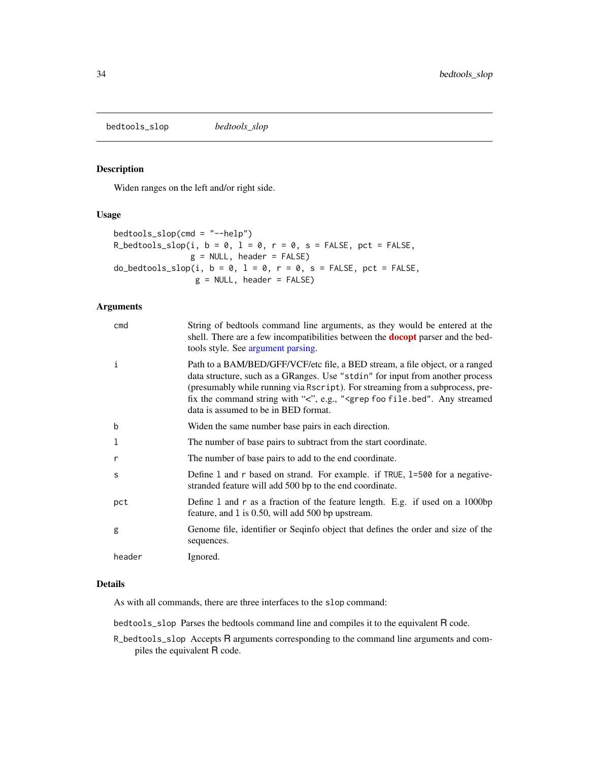<span id="page-33-0"></span>bedtools\_slop *bedtools\_slop*

### Description

Widen ranges on the left and/or right side.

#### Usage

```
bedtools\_slop(cmd = "--help")R_bedtools_slop(i, b = 0, l = 0, r = 0, s = FALSE, pct = FALSE,
                g = NULL, header = FALSE)
do\_bedtools\_slop(i, b = 0, l = 0, r = 0, s = FALSE, pct = FALSE,g = NULL, header = FALSE)
```
### Arguments

| cmd    | String of bedtools command line arguments, as they would be entered at the<br>shell. There are a few incompatibilities between the <b>docopt</b> parser and the bed-<br>tools style. See argument parsing.                                                                                                                                                                              |
|--------|-----------------------------------------------------------------------------------------------------------------------------------------------------------------------------------------------------------------------------------------------------------------------------------------------------------------------------------------------------------------------------------------|
| 1      | Path to a BAM/BED/GFF/VCF/etc file, a BED stream, a file object, or a ranged<br>data structure, such as a GRanges. Use "stdin" for input from another process<br>(presumably while running via Rscript). For streaming from a subprocess, pre-<br>fix the command string with "<", e.g., " <grep any="" file.bed".="" foo="" streamed<br="">data is assumed to be in BED format.</grep> |
| b      | Widen the same number base pairs in each direction.                                                                                                                                                                                                                                                                                                                                     |
| 1      | The number of base pairs to subtract from the start coordinate.                                                                                                                                                                                                                                                                                                                         |
| r      | The number of base pairs to add to the end coordinate.                                                                                                                                                                                                                                                                                                                                  |
| S      | Define 1 and r based on strand. For example. if TRUE, 1=500 for a negative-<br>stranded feature will add 500 bp to the end coordinate.                                                                                                                                                                                                                                                  |
| pct    | Define 1 and r as a fraction of the feature length. E.g. if used on a 1000bp<br>feature, and 1 is 0.50, will add 500 bp upstream.                                                                                                                                                                                                                                                       |
| g      | Genome file, identifier or Seqinfo object that defines the order and size of the<br>sequences.                                                                                                                                                                                                                                                                                          |
| header | Ignored.                                                                                                                                                                                                                                                                                                                                                                                |

### Details

As with all commands, there are three interfaces to the slop command:

bedtools\_slop Parses the bedtools command line and compiles it to the equivalent R code.

R\_bedtools\_slop Accepts R arguments corresponding to the command line arguments and compiles the equivalent R code.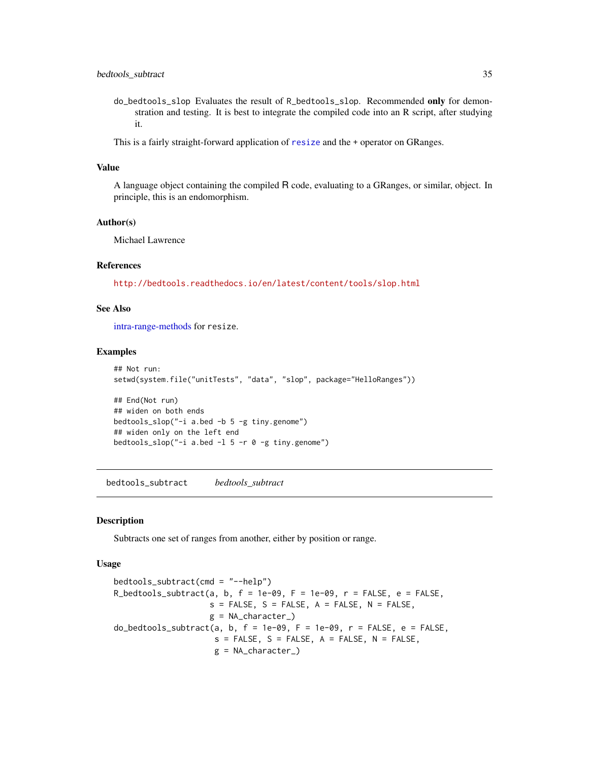- <span id="page-34-0"></span>do\_bedtools\_slop Evaluates the result of R\_bedtools\_slop. Recommended only for demonstration and testing. It is best to integrate the compiled code into an R script, after studying it.
- This is a fairly straight-forward application of [resize](#page-0-0) and the + operator on GRanges.

#### Value

A language object containing the compiled R code, evaluating to a GRanges, or similar, object. In principle, this is an endomorphism.

#### Author(s)

Michael Lawrence

### References

<http://bedtools.readthedocs.io/en/latest/content/tools/slop.html>

### See Also

[intra-range-methods](#page-0-0) for resize.

#### Examples

```
## Not run:
setwd(system.file("unitTests", "data", "slop", package="HelloRanges"))
## End(Not run)
## widen on both ends
bedtools_slop("-i a.bed -b 5 -g tiny.genome")
## widen only on the left end
bedtools_slop("-i a.bed -l 5 -r 0 -g tiny.genome")
```
bedtools\_subtract *bedtools\_subtract*

#### Description

Subtracts one set of ranges from another, either by position or range.

#### Usage

```
bedtools_subtract(cmd = "--help")
R_bedtools_subtract(a, b, f = 1e-09, F = 1e-09, r = FALSE, e = FALSE,
                    s = FALSE, S = FALSE, A = FALSE, N = FALSE,
                    g = NA_{character_{}})do_bedtools_subtract(a, b, f = 1e-09, F = 1e-09, r = FALSE, e = FALSE,
                     s = FALSE, S = FALSE, A = FALSE, N = FALSE,
                     g = NA_character_)
```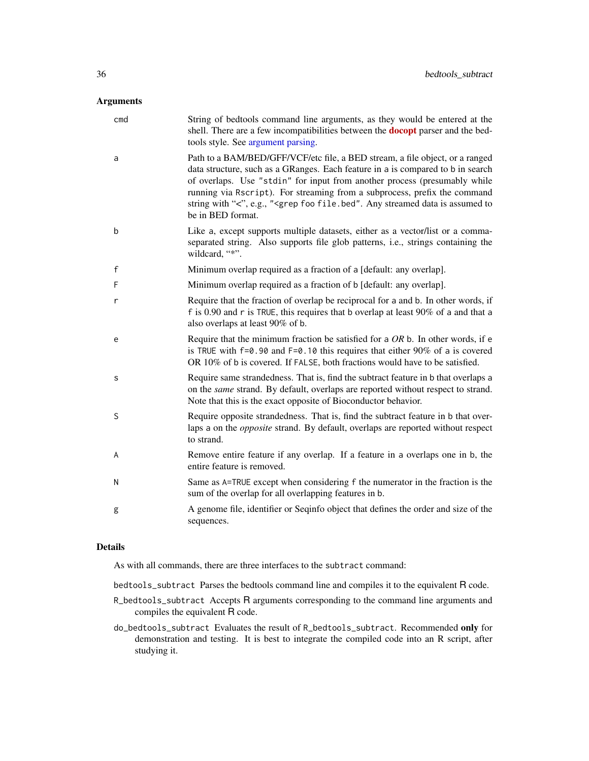### <span id="page-35-0"></span>Arguments

| cmd | String of bedtools command line arguments, as they would be entered at the<br>shell. There are a few incompatibilities between the <b>docopt</b> parser and the bed-<br>tools style. See argument parsing.                                                                                                                                                                                                                                                     |
|-----|----------------------------------------------------------------------------------------------------------------------------------------------------------------------------------------------------------------------------------------------------------------------------------------------------------------------------------------------------------------------------------------------------------------------------------------------------------------|
| a   | Path to a BAM/BED/GFF/VCF/etc file, a BED stream, a file object, or a ranged<br>data structure, such as a GRanges. Each feature in a is compared to b in search<br>of overlaps. Use "stdin" for input from another process (presumably while<br>running via Rscript). For streaming from a subprocess, prefix the command<br>string with "<", e.g., " <grep any="" assumed="" data="" file.bed".="" foo="" is="" streamed="" to<br="">be in BED format.</grep> |
| b   | Like a, except supports multiple datasets, either as a vector/list or a comma-<br>separated string. Also supports file glob patterns, i.e., strings containing the<br>wildcard, "*".                                                                                                                                                                                                                                                                           |
| f   | Minimum overlap required as a fraction of a [default: any overlap].                                                                                                                                                                                                                                                                                                                                                                                            |
| F   | Minimum overlap required as a fraction of b [default: any overlap].                                                                                                                                                                                                                                                                                                                                                                                            |
| r   | Require that the fraction of overlap be reciprocal for a and b. In other words, if<br>f is 0.90 and r is TRUE, this requires that b overlap at least $90\%$ of a and that a<br>also overlaps at least 90% of b.                                                                                                                                                                                                                                                |
| e   | Require that the minimum fraction be satisfied for a $OR$ b. In other words, if e<br>is TRUE with $f=0.90$ and $F=0.10$ this requires that either 90% of a is covered<br>OR 10% of b is covered. If FALSE, both fractions would have to be satisfied.                                                                                                                                                                                                          |
| s   | Require same strandedness. That is, find the subtract feature in b that overlaps a<br>on the same strand. By default, overlaps are reported without respect to strand.<br>Note that this is the exact opposite of Bioconductor behavior.                                                                                                                                                                                                                       |
| S   | Require opposite strandedness. That is, find the subtract feature in b that over-<br>laps a on the <i>opposite</i> strand. By default, overlaps are reported without respect<br>to strand.                                                                                                                                                                                                                                                                     |
| A   | Remove entire feature if any overlap. If a feature in a overlaps one in b, the<br>entire feature is removed.                                                                                                                                                                                                                                                                                                                                                   |
| Ν   | Same as A=TRUE except when considering f the numerator in the fraction is the<br>sum of the overlap for all overlapping features in b.                                                                                                                                                                                                                                                                                                                         |
| g   | A genome file, identifier or Seqinfo object that defines the order and size of the<br>sequences.                                                                                                                                                                                                                                                                                                                                                               |

### Details

As with all commands, there are three interfaces to the subtract command:

- bedtools\_subtract Parses the bedtools command line and compiles it to the equivalent R code.
- R\_bedtools\_subtract Accepts R arguments corresponding to the command line arguments and compiles the equivalent R code.
- do\_bedtools\_subtract Evaluates the result of R\_bedtools\_subtract. Recommended only for demonstration and testing. It is best to integrate the compiled code into an R script, after studying it.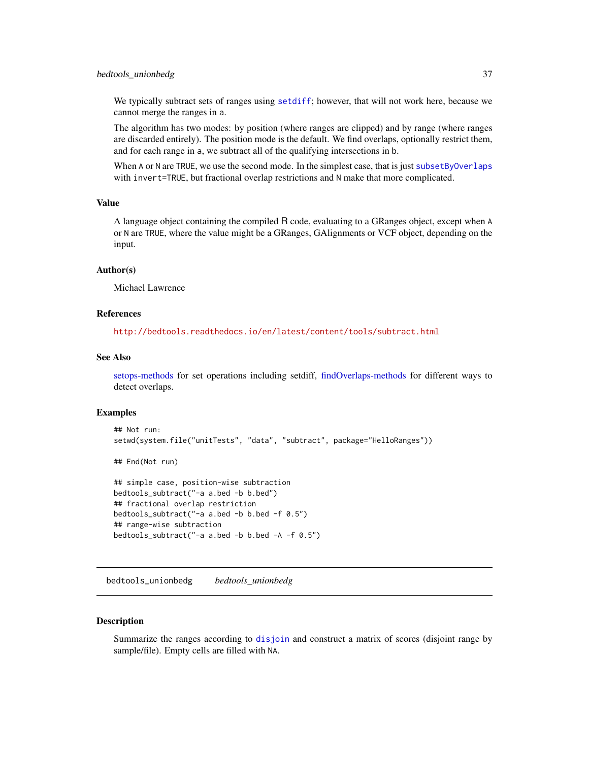<span id="page-36-0"></span>We typically subtract sets of ranges using [setdiff](#page-0-0); however, that will not work here, because we cannot merge the ranges in a.

The algorithm has two modes: by position (where ranges are clipped) and by range (where ranges are discarded entirely). The position mode is the default. We find overlaps, optionally restrict them, and for each range in a, we subtract all of the qualifying intersections in b.

When A or N are TRUE, we use the second mode. In the simplest case, that is just [subsetByOverlaps](#page-0-0) with invert=TRUE, but fractional overlap restrictions and N make that more complicated.

#### Value

A language object containing the compiled R code, evaluating to a GRanges object, except when A or N are TRUE, where the value might be a GRanges, GAlignments or VCF object, depending on the input.

#### Author(s)

Michael Lawrence

#### References

<http://bedtools.readthedocs.io/en/latest/content/tools/subtract.html>

#### See Also

[setops-methods](#page-0-0) for set operations including setdiff, [findOverlaps-methods](#page-0-0) for different ways to detect overlaps.

#### Examples

```
## Not run:
setwd(system.file("unitTests", "data", "subtract", package="HelloRanges"))
## End(Not run)
## simple case, position-wise subtraction
bedtools_subtract("-a a.bed -b b.bed")
## fractional overlap restriction
bedtools_subtract("-a a.bed -b b.bed -f 0.5")
## range-wise subtraction
bedtools_subtract("-a a.bed -b b.bed -A -f 0.5")
```
bedtools\_unionbedg *bedtools\_unionbedg*

#### **Description**

Summarize the ranges according to [disjoin](#page-0-0) and construct a matrix of scores (disjoint range by sample/file). Empty cells are filled with NA.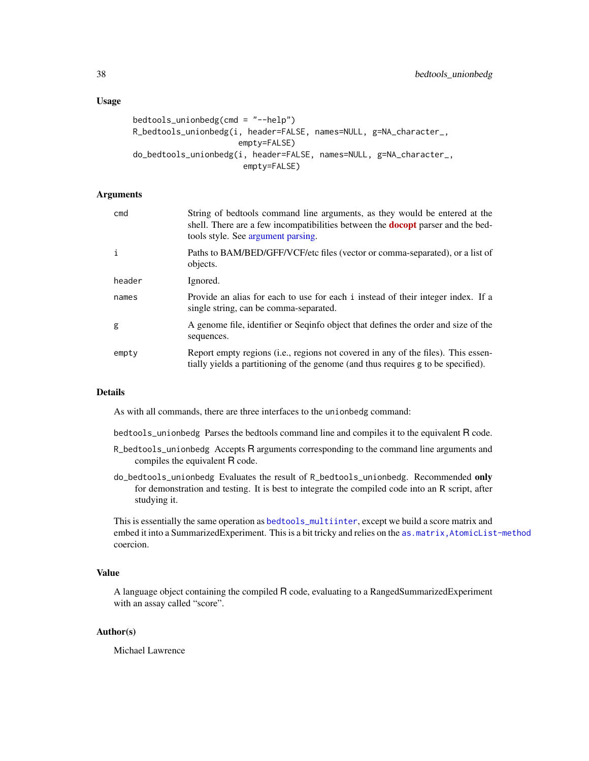### <span id="page-37-0"></span>Usage

```
bedtools_unionbedg(cmd = "--help")
R_bedtools_unionbedg(i, header=FALSE, names=NULL, g=NA_character_,
                      empty=FALSE)
do_bedtools_unionbedg(i, header=FALSE, names=NULL, g=NA_character_,
                       empty=FALSE)
```
### Arguments

| cmd    | String of bedtools command line arguments, as they would be entered at the<br>shell. There are a few incompatibilities between the <b>docopt</b> parser and the bed-<br>tools style. See argument parsing. |
|--------|------------------------------------------------------------------------------------------------------------------------------------------------------------------------------------------------------------|
| j.     | Paths to BAM/BED/GFF/VCF/etc files (vector or comma-separated), or a list of<br>objects.                                                                                                                   |
| header | Ignored.                                                                                                                                                                                                   |
| names  | Provide an alias for each to use for each i instead of their integer index. If a<br>single string, can be comma-separated.                                                                                 |
| g      | A genome file, identifier or Seqinfo object that defines the order and size of the<br>sequences.                                                                                                           |
| empty  | Report empty regions (i.e., regions not covered in any of the files). This essen-<br>tially yields a partitioning of the genome (and thus requires g to be specified).                                     |

#### Details

As with all commands, there are three interfaces to the unionbedg command:

bedtools\_unionbedg Parses the bedtools command line and compiles it to the equivalent R code.

- R\_bedtools\_unionbedg Accepts R arguments corresponding to the command line arguments and compiles the equivalent R code.
- do\_bedtools\_unionbedg Evaluates the result of R\_bedtools\_unionbedg. Recommended only for demonstration and testing. It is best to integrate the compiled code into an R script, after studying it.

This is essentially the same operation as [bedtools\\_multiinter](#page-28-1), except we build a score matrix and embed it into a SummarizedExperiment. This is a bit tricky and relies on the as.matrix, AtomicList-method coercion.

### Value

A language object containing the compiled R code, evaluating to a RangedSummarizedExperiment with an assay called "score".

### Author(s)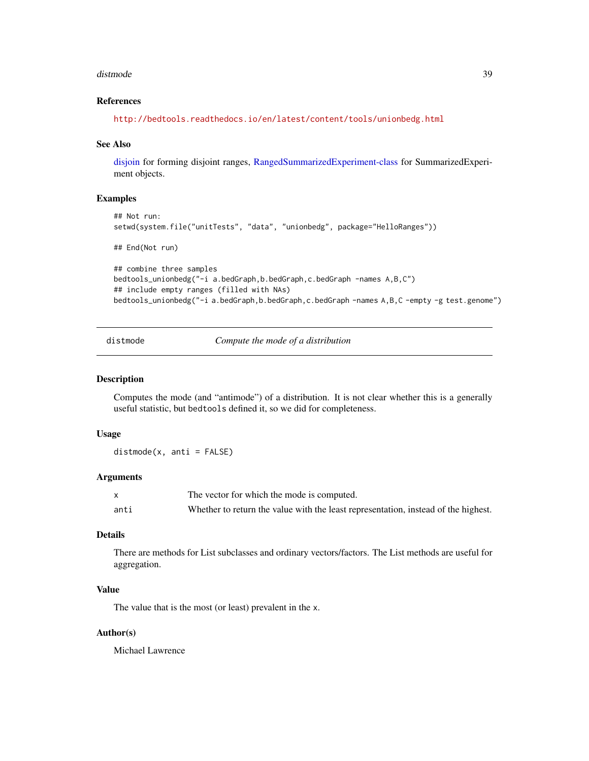#### <span id="page-38-0"></span>distmode 39

#### References

<http://bedtools.readthedocs.io/en/latest/content/tools/unionbedg.html>

#### See Also

[disjoin](#page-0-0) for forming disjoint ranges, [RangedSummarizedExperiment-class](#page-0-0) for SummarizedExperiment objects.

#### Examples

```
## Not run:
setwd(system.file("unitTests", "data", "unionbedg", package="HelloRanges"))
## End(Not run)
## combine three samples
bedtools_unionbedg("-i a.bedGraph,b.bedGraph,c.bedGraph -names A,B,C")
## include empty ranges (filled with NAs)
bedtools_unionbedg("-i a.bedGraph,b.bedGraph,c.bedGraph -names A,B,C -empty -g test.genome")
```
<span id="page-38-1"></span>distmode *Compute the mode of a distribution*

#### Description

Computes the mode (and "antimode") of a distribution. It is not clear whether this is a generally useful statistic, but bedtools defined it, so we did for completeness.

#### Usage

 $distance(x, anti = FALSE)$ 

#### **Arguments**

|      | The vector for which the mode is computed.                                         |
|------|------------------------------------------------------------------------------------|
| anti | Whether to return the value with the least representation, instead of the highest. |

### Details

There are methods for List subclasses and ordinary vectors/factors. The List methods are useful for aggregation.

### Value

The value that is the most (or least) prevalent in the x.

#### Author(s)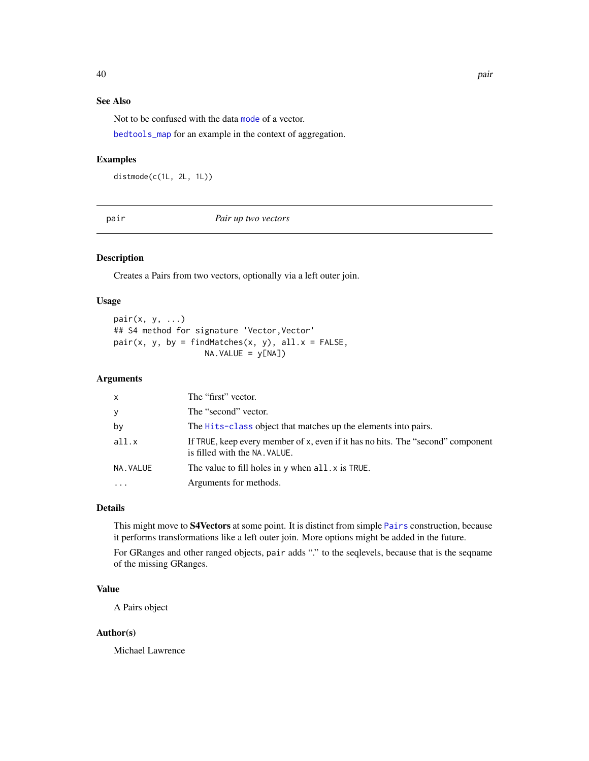### <span id="page-39-0"></span>See Also

Not to be confused with the data [mode](#page-0-0) of a vector.

[bedtools\\_map](#page-23-1) for an example in the context of aggregation.

### Examples

distmode(c(1L, 2L, 1L))

#### pair *Pair up two vectors*

#### Description

Creates a Pairs from two vectors, optionally via a left outer join.

### Usage

pair(x, y, ...) ## S4 method for signature 'Vector, Vector'  $pair(x, y, by = findMatches(x, y), all.x = FALSE,$ NA.VALUE = y[NA])

#### Arguments

| X        | The "first" vector.                                                                                              |
|----------|------------------------------------------------------------------------------------------------------------------|
| У        | The "second" vector.                                                                                             |
| by       | The Hits-class object that matches up the elements into pairs.                                                   |
| all.x    | If TRUE, keep every member of x, even if it has no hits. The "second" component<br>is filled with the NA. VALUE. |
| NA.VALUE | The value to fill holes in $\nu$ when all $\chi$ is TRUE.                                                        |
| $\cdot$  | Arguments for methods.                                                                                           |

### Details

This might move to S4Vectors at some point. It is distinct from simple [Pairs](#page-0-0) construction, because it performs transformations like a left outer join. More options might be added in the future.

For GRanges and other ranged objects, pair adds "." to the seqlevels, because that is the seqname of the missing GRanges.

### Value

A Pairs object

#### Author(s)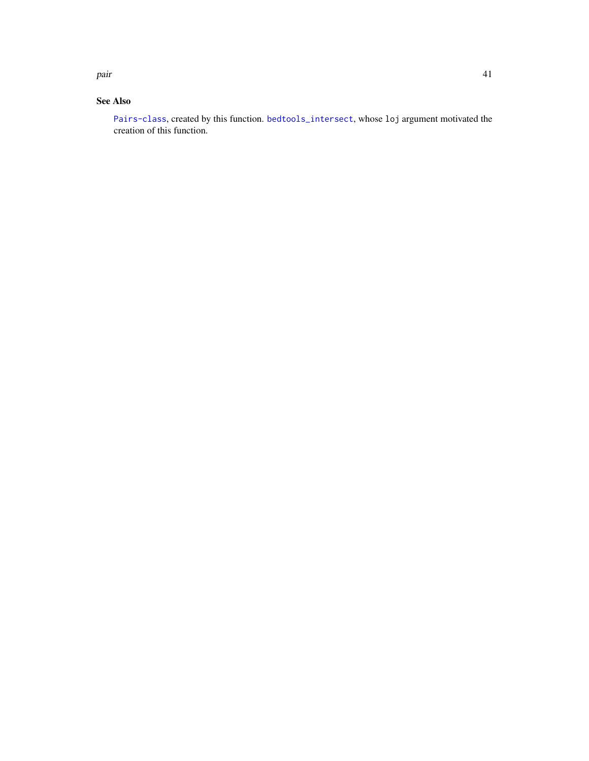<span id="page-40-0"></span>pair the contract of the contract of the contract of the contract of the contract of the contract of the contract of the contract of the contract of the contract of the contract of the contract of the contract of the contr

### See Also

[Pairs-class](#page-0-0), created by this function. [bedtools\\_intersect](#page-17-1), whose loj argument motivated the creation of this function.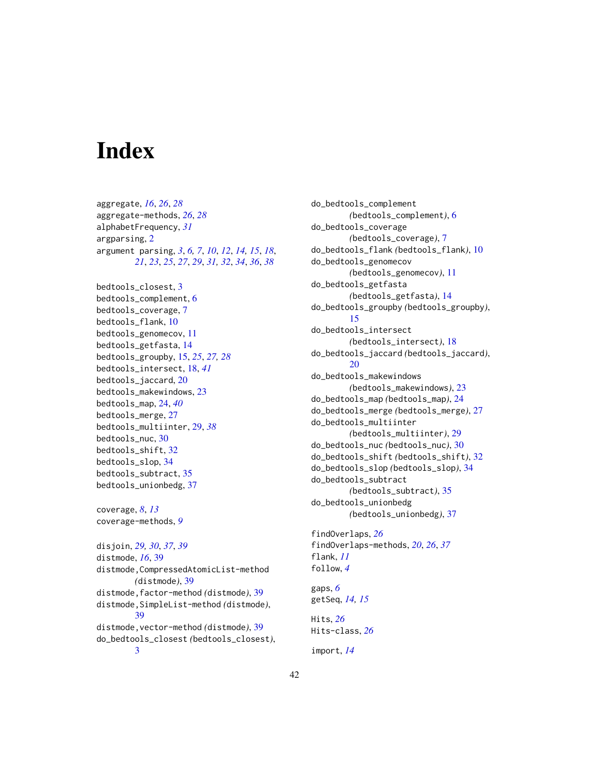# <span id="page-41-0"></span>**Index**

aggregate, *[16](#page-15-0)*, *[26](#page-25-0)*, *[28](#page-27-0)* aggregate-methods, *[26](#page-25-0)*, *[28](#page-27-0)* alphabetFrequency, *[31](#page-30-0)* argparsing, [2](#page-1-0) argument parsing, *[3](#page-2-0)*, *[6,](#page-5-0) [7](#page-6-0)*, *[10](#page-9-0)*, *[12](#page-11-0)*, *[14,](#page-13-0) [15](#page-14-0)*, *[18](#page-17-0)*, *[21](#page-20-0)*, *[23](#page-22-0)*, *[25](#page-24-0)*, *[27](#page-26-0)*, *[29](#page-28-0)*, *[31,](#page-30-0) [32](#page-31-0)*, *[34](#page-33-0)*, *[36](#page-35-0)*, *[38](#page-37-0)* bedtools\_closest, [3](#page-2-0) bedtools\_complement, [6](#page-5-0) bedtools\_coverage, [7](#page-6-0) bedtools\_flank, [10](#page-9-0) bedtools\_genomecov, [11](#page-10-0) bedtools\_getfasta, [14](#page-13-0) bedtools\_groupby, [15,](#page-14-0) *[25](#page-24-0)*, *[27,](#page-26-0) [28](#page-27-0)* bedtools\_intersect, [18,](#page-17-0) *[41](#page-40-0)* bedtools\_jaccard, [20](#page-19-0) bedtools\_makewindows, [23](#page-22-0) bedtools\_map, [24,](#page-23-0) *[40](#page-39-0)* bedtools\_merge, [27](#page-26-0) bedtools\_multiinter, [29,](#page-28-0) *[38](#page-37-0)* bedtools\_nuc, [30](#page-29-0) bedtools\_shift, [32](#page-31-0) bedtools\_slop, [34](#page-33-0) bedtools\_subtract, [35](#page-34-0) bedtools\_unionbedg, [37](#page-36-0) coverage, *[8](#page-7-0)*, *[13](#page-12-0)* coverage-methods, *[9](#page-8-0)* disjoin, *[29,](#page-28-0) [30](#page-29-0)*, *[37](#page-36-0)*, *[39](#page-38-0)* distmode, *[16](#page-15-0)*, [39](#page-38-0) distmode,CompressedAtomicList-method *(*distmode*)*, [39](#page-38-0) distmode,factor-method *(*distmode*)*, [39](#page-38-0) distmode,SimpleList-method *(*distmode*)*, [39](#page-38-0) distmode,vector-method *(*distmode*)*, [39](#page-38-0) do\_bedtools\_closest *(*bedtools\_closest*)*, [3](#page-2-0)

do\_bedtools\_complement *(*bedtools\_complement*)*, [6](#page-5-0) do\_bedtools\_coverage *(*bedtools\_coverage*)*, [7](#page-6-0) do\_bedtools\_flank *(*bedtools\_flank*)*, [10](#page-9-0) do\_bedtools\_genomecov *(*bedtools\_genomecov*)*, [11](#page-10-0) do\_bedtools\_getfasta *(*bedtools\_getfasta*)*, [14](#page-13-0) do\_bedtools\_groupby *(*bedtools\_groupby*)*, [15](#page-14-0) do\_bedtools\_intersect *(*bedtools\_intersect*)*, [18](#page-17-0) do\_bedtools\_jaccard *(*bedtools\_jaccard*)*,  $20$ do\_bedtools\_makewindows *(*bedtools\_makewindows*)*, [23](#page-22-0) do\_bedtools\_map *(*bedtools\_map*)*, [24](#page-23-0) do\_bedtools\_merge *(*bedtools\_merge*)*, [27](#page-26-0) do\_bedtools\_multiinter *(*bedtools\_multiinter*)*, [29](#page-28-0) do\_bedtools\_nuc *(*bedtools\_nuc*)*, [30](#page-29-0) do\_bedtools\_shift *(*bedtools\_shift*)*, [32](#page-31-0) do\_bedtools\_slop *(*bedtools\_slop*)*, [34](#page-33-0) do\_bedtools\_subtract *(*bedtools\_subtract*)*, [35](#page-34-0) do\_bedtools\_unionbedg *(*bedtools\_unionbedg*)*, [37](#page-36-0) findOverlaps, *[26](#page-25-0)* findOverlaps-methods, *[20](#page-19-0)*, *[26](#page-25-0)*, *[37](#page-36-0)* flank, *[11](#page-10-0)* follow, *[4](#page-3-0)* gaps, *[6](#page-5-0)* getSeq, *[14,](#page-13-0) [15](#page-14-0)* Hits, *[26](#page-25-0)* Hits-class, *[26](#page-25-0)*

import, *[14](#page-13-0)*